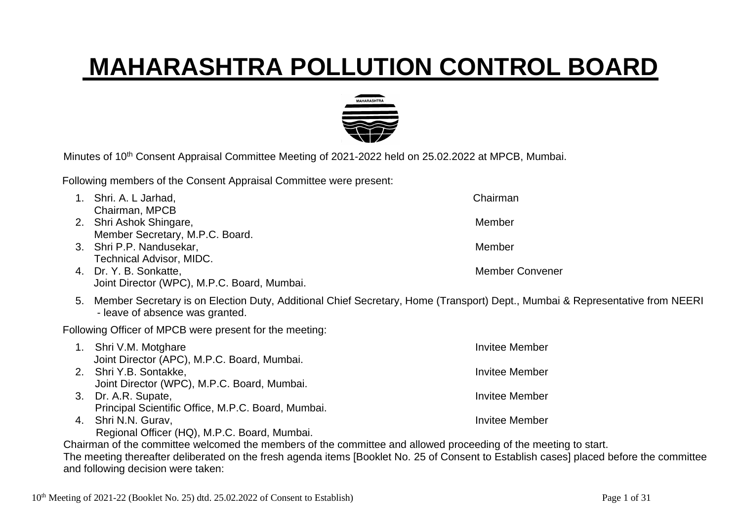## **MAHARASHTRA POLLUTION CONTROL BOARD**



Minutes of 10<sup>th</sup> Consent Appraisal Committee Meeting of 2021-2022 held on 25.02.2022 at MPCB, Mumbai.

Following members of the Consent Appraisal Committee were present:

| Shri. A. L Jarhad,                                                                                                                                                 | Chairman               |  |  |  |
|--------------------------------------------------------------------------------------------------------------------------------------------------------------------|------------------------|--|--|--|
| Chairman, MPCB                                                                                                                                                     |                        |  |  |  |
| 2. Shri Ashok Shingare,                                                                                                                                            | Member                 |  |  |  |
| Member Secretary, M.P.C. Board.                                                                                                                                    |                        |  |  |  |
| 3. Shri P.P. Nandusekar,                                                                                                                                           | Member                 |  |  |  |
| Technical Advisor, MIDC.                                                                                                                                           |                        |  |  |  |
| 4. Dr. Y. B. Sonkatte,                                                                                                                                             | <b>Member Convener</b> |  |  |  |
| Joint Director (WPC), M.P.C. Board, Mumbai.                                                                                                                        |                        |  |  |  |
| 5. Member Secretary is on Election Duty, Additional Chief Secretary, Home (Transport) Dept., Mumbai & Representative from NEERI<br>- leave of absence was granted. |                        |  |  |  |
| Following Officer of MPCB were present for the meeting:                                                                                                            |                        |  |  |  |
| 1. Shri V.M. Motghare                                                                                                                                              | <b>Invitee Member</b>  |  |  |  |
| Joint Director (APC), M.P.C. Board, Mumbai.                                                                                                                        |                        |  |  |  |
| 2. Shri Y.B. Sontakke,                                                                                                                                             | <b>Invitee Member</b>  |  |  |  |
| Joint Director (WPC), M.P.C. Board, Mumbai.                                                                                                                        |                        |  |  |  |
| 3. Dr. A.R. Supate,                                                                                                                                                | <b>Invitee Member</b>  |  |  |  |
| Principal Scientific Office, M.P.C. Board, Mumbai.                                                                                                                 |                        |  |  |  |
| 4. Shri N.N. Gurav,                                                                                                                                                | <b>Invitee Member</b>  |  |  |  |
| Regional Officer (HQ), M.P.C. Board, Mumbai.                                                                                                                       |                        |  |  |  |
| Chairman of the committee welcomed the members of the committee and allowed proceeding of the meeting to start.                                                    |                        |  |  |  |
| The meeting thereafter deliberated on the fresh agenda items [Booklet No. 25 of Consent to Establish cases] placed before the committee                            |                        |  |  |  |

10<sup>th</sup> Meeting of 2021-22 (Booklet No. 25) dtd. 25.02.2022 of Consent to Establish) Page 1 of 31

and following decision were taken: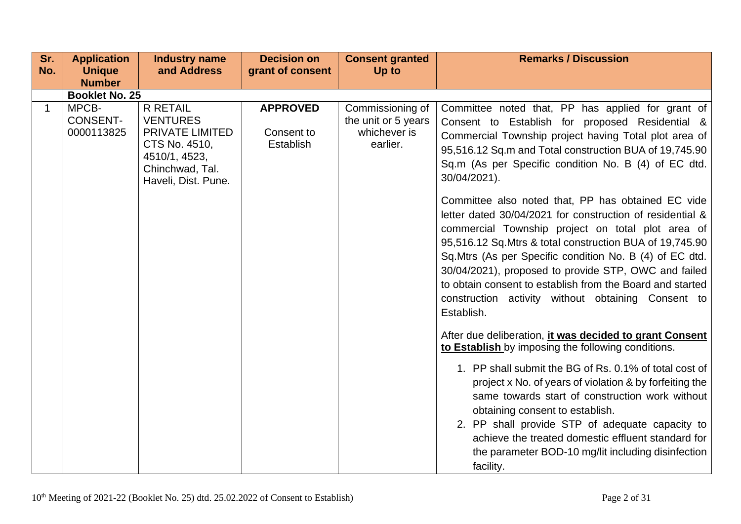| Sr.<br>No. | <b>Application</b><br><b>Unique</b>    | <b>Industry name</b><br>and Address                                                                                               | <b>Decision on</b><br>grant of consent     | <b>Consent granted</b><br>Up to                                     | <b>Remarks / Discussion</b>                                                                                                                                                                                                                                                                                                                                                                                                                                                           |
|------------|----------------------------------------|-----------------------------------------------------------------------------------------------------------------------------------|--------------------------------------------|---------------------------------------------------------------------|---------------------------------------------------------------------------------------------------------------------------------------------------------------------------------------------------------------------------------------------------------------------------------------------------------------------------------------------------------------------------------------------------------------------------------------------------------------------------------------|
|            | <b>Number</b>                          |                                                                                                                                   |                                            |                                                                     |                                                                                                                                                                                                                                                                                                                                                                                                                                                                                       |
|            | <b>Booklet No. 25</b>                  |                                                                                                                                   |                                            |                                                                     |                                                                                                                                                                                                                                                                                                                                                                                                                                                                                       |
| 1          | MPCB-<br><b>CONSENT-</b><br>0000113825 | <b>R RETAIL</b><br><b>VENTURES</b><br>PRIVATE LIMITED<br>CTS No. 4510,<br>4510/1, 4523,<br>Chinchwad, Tal.<br>Haveli, Dist. Pune. | <b>APPROVED</b><br>Consent to<br>Establish | Commissioning of<br>the unit or 5 years<br>whichever is<br>earlier. | Committee noted that, PP has applied for grant of<br>Consent to Establish for proposed Residential &<br>Commercial Township project having Total plot area of<br>95,516.12 Sq.m and Total construction BUA of 19,745.90<br>Sq.m (As per Specific condition No. B (4) of EC dtd.<br>30/04/2021).                                                                                                                                                                                       |
|            |                                        |                                                                                                                                   |                                            |                                                                     | Committee also noted that, PP has obtained EC vide<br>letter dated 30/04/2021 for construction of residential &<br>commercial Township project on total plot area of<br>95,516.12 Sq. Mtrs & total construction BUA of 19,745.90<br>Sq. Mtrs (As per Specific condition No. B (4) of EC dtd.<br>30/04/2021), proposed to provide STP, OWC and failed<br>to obtain consent to establish from the Board and started<br>construction activity without obtaining Consent to<br>Establish. |
|            |                                        |                                                                                                                                   |                                            |                                                                     | After due deliberation, it was decided to grant Consent<br>to Establish by imposing the following conditions.                                                                                                                                                                                                                                                                                                                                                                         |
|            |                                        |                                                                                                                                   |                                            |                                                                     | 1. PP shall submit the BG of Rs. 0.1% of total cost of<br>project x No. of years of violation & by forfeiting the<br>same towards start of construction work without<br>obtaining consent to establish.<br>2. PP shall provide STP of adequate capacity to<br>achieve the treated domestic effluent standard for<br>the parameter BOD-10 mg/lit including disinfection<br>facility.                                                                                                   |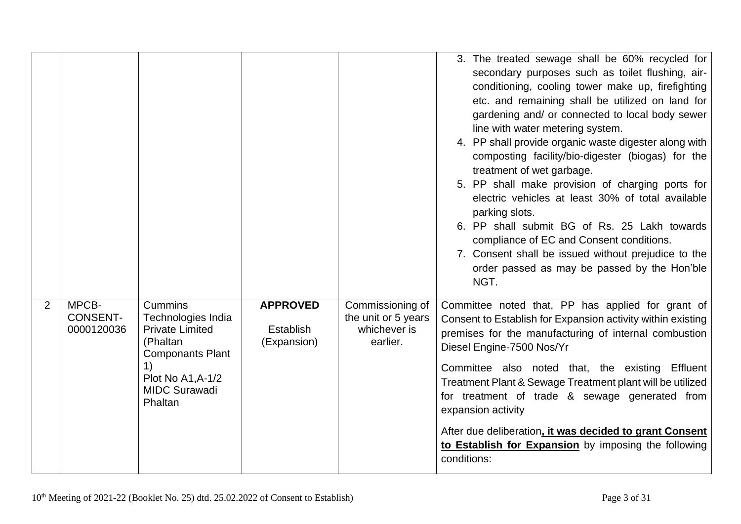|   |                                        |                                                                                                                                                               |                                                    |                                                                     | 3. The treated sewage shall be 60% recycled for<br>secondary purposes such as toilet flushing, air-<br>conditioning, cooling tower make up, firefighting<br>etc. and remaining shall be utilized on land for<br>gardening and/ or connected to local body sewer<br>line with water metering system.<br>4. PP shall provide organic waste digester along with<br>composting facility/bio-digester (biogas) for the<br>treatment of wet garbage.<br>5. PP shall make provision of charging ports for<br>electric vehicles at least 30% of total available<br>parking slots.<br>6. PP shall submit BG of Rs. 25 Lakh towards<br>compliance of EC and Consent conditions.<br>7. Consent shall be issued without prejudice to the<br>order passed as may be passed by the Hon'ble<br>NGT. |
|---|----------------------------------------|---------------------------------------------------------------------------------------------------------------------------------------------------------------|----------------------------------------------------|---------------------------------------------------------------------|--------------------------------------------------------------------------------------------------------------------------------------------------------------------------------------------------------------------------------------------------------------------------------------------------------------------------------------------------------------------------------------------------------------------------------------------------------------------------------------------------------------------------------------------------------------------------------------------------------------------------------------------------------------------------------------------------------------------------------------------------------------------------------------|
| 2 | MPCB-<br><b>CONSENT-</b><br>0000120036 | <b>Cummins</b><br>Technologies India<br><b>Private Limited</b><br>(Phaltan<br><b>Componants Plant</b><br>Plot No A1, A-1/2<br><b>MIDC Surawadi</b><br>Phaltan | <b>APPROVED</b><br><b>Establish</b><br>(Expansion) | Commissioning of<br>the unit or 5 years<br>whichever is<br>earlier. | Committee noted that, PP has applied for grant of<br>Consent to Establish for Expansion activity within existing<br>premises for the manufacturing of internal combustion<br>Diesel Engine-7500 Nos/Yr<br>Committee also noted that, the existing Effluent<br>Treatment Plant & Sewage Treatment plant will be utilized<br>for treatment of trade & sewage generated from<br>expansion activity<br>After due deliberation, it was decided to grant Consent<br>to Establish for Expansion by imposing the following<br>conditions:                                                                                                                                                                                                                                                    |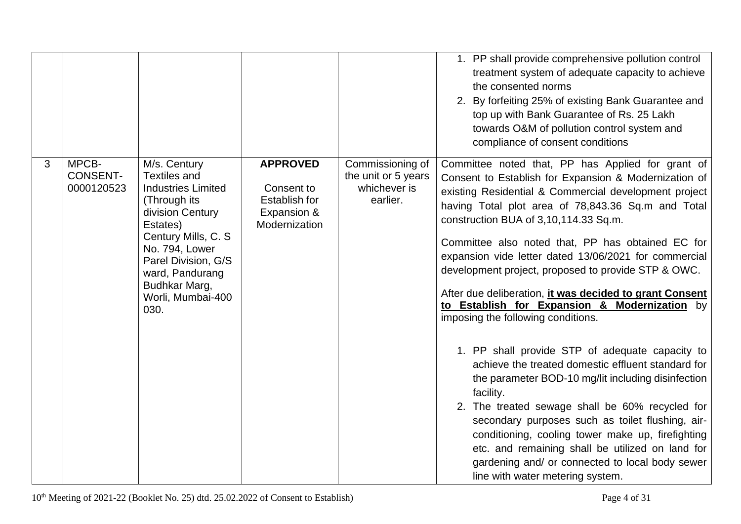|   |                                        |                                                                                                                                                                                                                                                    |                                                                                |                                                                     | 1. PP shall provide comprehensive pollution control<br>treatment system of adequate capacity to achieve<br>the consented norms<br>2. By forfeiting 25% of existing Bank Guarantee and<br>top up with Bank Guarantee of Rs. 25 Lakh<br>towards O&M of pollution control system and<br>compliance of consent conditions                                                                                                                                                                                                                                                                                                                                                                                                                                                                                                                                                                                                                                                                                                                                                        |
|---|----------------------------------------|----------------------------------------------------------------------------------------------------------------------------------------------------------------------------------------------------------------------------------------------------|--------------------------------------------------------------------------------|---------------------------------------------------------------------|------------------------------------------------------------------------------------------------------------------------------------------------------------------------------------------------------------------------------------------------------------------------------------------------------------------------------------------------------------------------------------------------------------------------------------------------------------------------------------------------------------------------------------------------------------------------------------------------------------------------------------------------------------------------------------------------------------------------------------------------------------------------------------------------------------------------------------------------------------------------------------------------------------------------------------------------------------------------------------------------------------------------------------------------------------------------------|
| 3 | MPCB-<br><b>CONSENT-</b><br>0000120523 | M/s. Century<br><b>Textiles and</b><br><b>Industries Limited</b><br>(Through its<br>division Century<br>Estates)<br>Century Mills, C. S.<br>No. 794, Lower<br>Parel Division, G/S<br>ward, Pandurang<br>Budhkar Marg,<br>Worli, Mumbai-400<br>030. | <b>APPROVED</b><br>Consent to<br>Establish for<br>Expansion &<br>Modernization | Commissioning of<br>the unit or 5 years<br>whichever is<br>earlier. | Committee noted that, PP has Applied for grant of<br>Consent to Establish for Expansion & Modernization of<br>existing Residential & Commercial development project<br>having Total plot area of 78,843.36 Sq.m and Total<br>construction BUA of 3,10,114.33 Sq.m.<br>Committee also noted that, PP has obtained EC for<br>expansion vide letter dated 13/06/2021 for commercial<br>development project, proposed to provide STP & OWC.<br>After due deliberation, it was decided to grant Consent<br>to Establish for Expansion & Modernization by<br>imposing the following conditions.<br>1. PP shall provide STP of adequate capacity to<br>achieve the treated domestic effluent standard for<br>the parameter BOD-10 mg/lit including disinfection<br>facility.<br>2. The treated sewage shall be 60% recycled for<br>secondary purposes such as toilet flushing, air-<br>conditioning, cooling tower make up, firefighting<br>etc. and remaining shall be utilized on land for<br>gardening and/ or connected to local body sewer<br>line with water metering system. |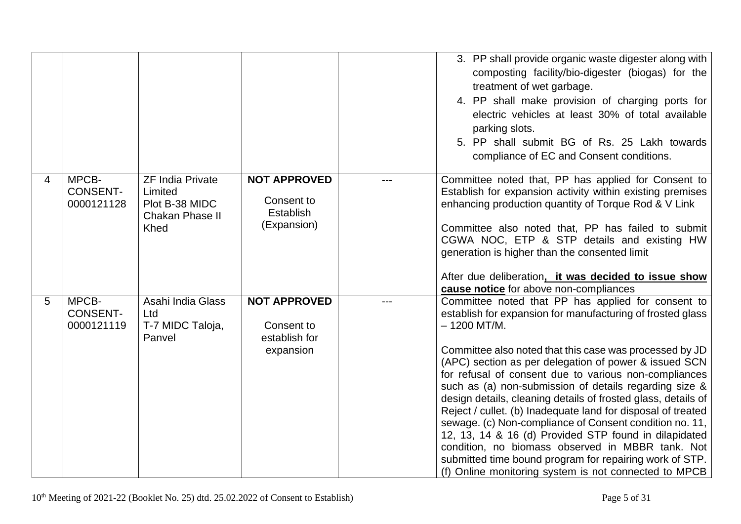|   |                                        |                                                                                 |                                                                      | 3. PP shall provide organic waste digester along with<br>composting facility/bio-digester (biogas) for the<br>treatment of wet garbage.<br>4. PP shall make provision of charging ports for<br>electric vehicles at least 30% of total available<br>parking slots.<br>5. PP shall submit BG of Rs. 25 Lakh towards<br>compliance of EC and Consent conditions.                                                                                                                                                                                                                                                                                                                                                                                                                                        |
|---|----------------------------------------|---------------------------------------------------------------------------------|----------------------------------------------------------------------|-------------------------------------------------------------------------------------------------------------------------------------------------------------------------------------------------------------------------------------------------------------------------------------------------------------------------------------------------------------------------------------------------------------------------------------------------------------------------------------------------------------------------------------------------------------------------------------------------------------------------------------------------------------------------------------------------------------------------------------------------------------------------------------------------------|
| 4 | MPCB-<br><b>CONSENT-</b><br>0000121128 | <b>ZF India Private</b><br>Limited<br>Plot B-38 MIDC<br>Chakan Phase II<br>Khed | <b>NOT APPROVED</b><br>Consent to<br><b>Establish</b><br>(Expansion) | Committee noted that, PP has applied for Consent to<br>Establish for expansion activity within existing premises<br>enhancing production quantity of Torque Rod & V Link<br>Committee also noted that, PP has failed to submit<br>CGWA NOC, ETP & STP details and existing HW<br>generation is higher than the consented limit<br>After due deliberation, it was decided to issue show<br>cause notice for above non-compliances                                                                                                                                                                                                                                                                                                                                                                      |
| 5 | MPCB-<br><b>CONSENT-</b><br>0000121119 | Asahi India Glass<br>Ltd<br>T-7 MIDC Taloja,<br>Panvel                          | <b>NOT APPROVED</b><br>Consent to<br>establish for<br>expansion      | Committee noted that PP has applied for consent to<br>establish for expansion for manufacturing of frosted glass<br>$-1200$ MT/M.<br>Committee also noted that this case was processed by JD<br>(APC) section as per delegation of power & issued SCN<br>for refusal of consent due to various non-compliances<br>such as (a) non-submission of details regarding size &<br>design details, cleaning details of frosted glass, details of<br>Reject / cullet. (b) Inadequate land for disposal of treated<br>sewage. (c) Non-compliance of Consent condition no. 11,<br>12, 13, 14 & 16 (d) Provided STP found in dilapidated<br>condition, no biomass observed in MBBR tank. Not<br>submitted time bound program for repairing work of STP.<br>(f) Online monitoring system is not connected to MPCB |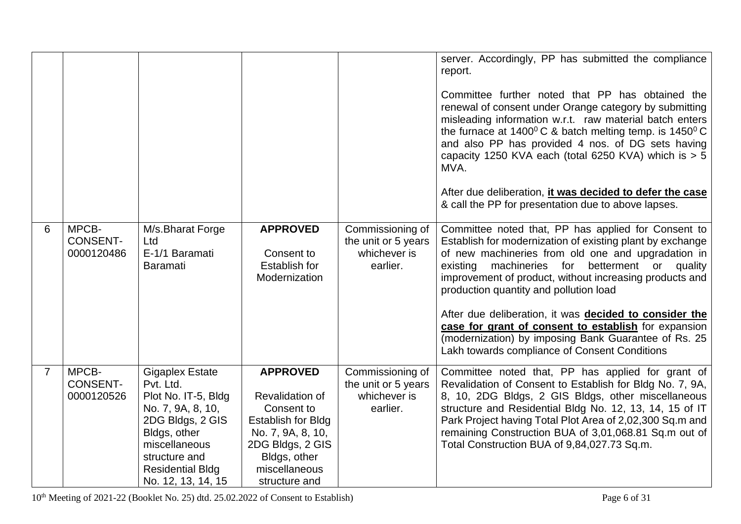|                |                                        |                                                                                                                                                                                                        |                                                                                                                                                                                 |                                                                     | server. Accordingly, PP has submitted the compliance<br>report.<br>Committee further noted that PP has obtained the<br>renewal of consent under Orange category by submitting<br>misleading information w.r.t. raw material batch enters<br>the furnace at $1400^{\circ}$ C & batch melting temp. is $1450^{\circ}$ C<br>and also PP has provided 4 nos. of DG sets having<br>capacity 1250 KVA each (total 6250 KVA) which is $> 5$<br>MVA.<br>After due deliberation, it was decided to defer the case<br>& call the PP for presentation due to above lapses. |
|----------------|----------------------------------------|--------------------------------------------------------------------------------------------------------------------------------------------------------------------------------------------------------|---------------------------------------------------------------------------------------------------------------------------------------------------------------------------------|---------------------------------------------------------------------|-----------------------------------------------------------------------------------------------------------------------------------------------------------------------------------------------------------------------------------------------------------------------------------------------------------------------------------------------------------------------------------------------------------------------------------------------------------------------------------------------------------------------------------------------------------------|
| 6              | MPCB-<br><b>CONSENT-</b><br>0000120486 | M/s.Bharat Forge<br>Ltd<br>E-1/1 Baramati<br><b>Baramati</b>                                                                                                                                           | <b>APPROVED</b><br>Consent to<br><b>Establish for</b><br>Modernization                                                                                                          | Commissioning of<br>the unit or 5 years<br>whichever is<br>earlier. | Committee noted that, PP has applied for Consent to<br>Establish for modernization of existing plant by exchange<br>of new machineries from old one and upgradation in<br>machineries for betterment or quality<br>existing<br>improvement of product, without increasing products and<br>production quantity and pollution load<br>After due deliberation, it was decided to consider the<br>case for grant of consent to establish for expansion<br>(modernization) by imposing Bank Guarantee of Rs. 25<br>Lakh towards compliance of Consent Conditions     |
| $\overline{7}$ | MPCB-<br><b>CONSENT-</b><br>0000120526 | <b>Gigaplex Estate</b><br>Pvt. Ltd.<br>Plot No. IT-5, Bldg<br>No. 7, 9A, 8, 10,<br>2DG Bldgs, 2 GIS<br>Bldgs, other<br>miscellaneous<br>structure and<br><b>Residential Bldg</b><br>No. 12, 13, 14, 15 | <b>APPROVED</b><br><b>Revalidation of</b><br>Consent to<br><b>Establish for Bldg</b><br>No. 7, 9A, 8, 10,<br>2DG Bldgs, 2 GIS<br>Bldgs, other<br>miscellaneous<br>structure and | Commissioning of<br>the unit or 5 years<br>whichever is<br>earlier. | Committee noted that, PP has applied for grant of<br>Revalidation of Consent to Establish for Bldg No. 7, 9A,<br>8, 10, 2DG Bldgs, 2 GIS Bldgs, other miscellaneous<br>structure and Residential Bldg No. 12, 13, 14, 15 of IT<br>Park Project having Total Plot Area of 2,02,300 Sq.m and<br>remaining Construction BUA of 3,01,068.81 Sq.m out of<br>Total Construction BUA of 9,84,027.73 Sq.m.                                                                                                                                                              |

10<sup>th</sup> Meeting of 2021-22 (Booklet No. 25) dtd. 25.02.2022 of Consent to Establish) Page 6 of 31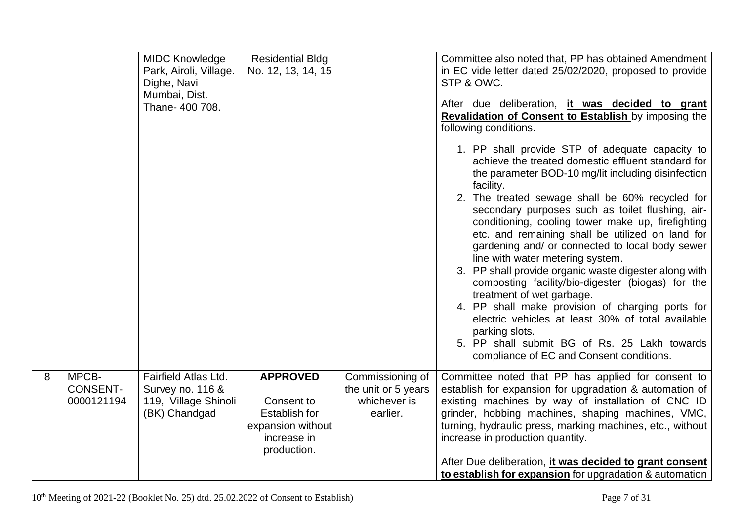|   |                                        | <b>MIDC Knowledge</b><br>Park, Airoli, Village.<br>Dighe, Navi<br>Mumbai, Dist.<br>Thane- 400 708. | <b>Residential Bldg</b><br>No. 12, 13, 14, 15                                                            |                                                                     | Committee also noted that, PP has obtained Amendment<br>in EC vide letter dated 25/02/2020, proposed to provide<br>STP & OWC.<br>After due deliberation, it was decided to grant<br><b>Revalidation of Consent to Establish by imposing the</b><br>following conditions.<br>1. PP shall provide STP of adequate capacity to<br>achieve the treated domestic effluent standard for<br>the parameter BOD-10 mg/lit including disinfection<br>facility.<br>2. The treated sewage shall be 60% recycled for<br>secondary purposes such as toilet flushing, air-<br>conditioning, cooling tower make up, firefighting<br>etc. and remaining shall be utilized on land for<br>gardening and/ or connected to local body sewer<br>line with water metering system.<br>3. PP shall provide organic waste digester along with<br>composting facility/bio-digester (biogas) for the<br>treatment of wet garbage.<br>4. PP shall make provision of charging ports for<br>electric vehicles at least 30% of total available<br>parking slots.<br>5. PP shall submit BG of Rs. 25 Lakh towards<br>compliance of EC and Consent conditions. |
|---|----------------------------------------|----------------------------------------------------------------------------------------------------|----------------------------------------------------------------------------------------------------------|---------------------------------------------------------------------|-------------------------------------------------------------------------------------------------------------------------------------------------------------------------------------------------------------------------------------------------------------------------------------------------------------------------------------------------------------------------------------------------------------------------------------------------------------------------------------------------------------------------------------------------------------------------------------------------------------------------------------------------------------------------------------------------------------------------------------------------------------------------------------------------------------------------------------------------------------------------------------------------------------------------------------------------------------------------------------------------------------------------------------------------------------------------------------------------------------------------------|
| 8 | MPCB-<br><b>CONSENT-</b><br>0000121194 | Fairfield Atlas Ltd.<br>Survey no. 116 &<br>119, Village Shinoli<br>(BK) Chandgad                  | <b>APPROVED</b><br>Consent to<br><b>Establish for</b><br>expansion without<br>increase in<br>production. | Commissioning of<br>the unit or 5 years<br>whichever is<br>earlier. | Committee noted that PP has applied for consent to<br>establish for expansion for upgradation & automation of<br>existing machines by way of installation of CNC ID<br>grinder, hobbing machines, shaping machines, VMC,<br>turning, hydraulic press, marking machines, etc., without<br>increase in production quantity.<br>After Due deliberation, it was decided to grant consent<br>to establish for expansion for upgradation & automation                                                                                                                                                                                                                                                                                                                                                                                                                                                                                                                                                                                                                                                                               |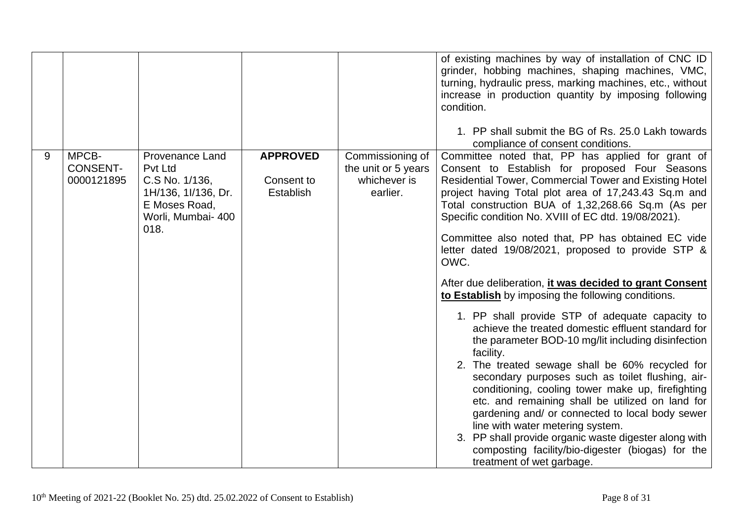|   |                                        |                                                                                                                           |                                                   |                                                                     | of existing machines by way of installation of CNC ID<br>grinder, hobbing machines, shaping machines, VMC,<br>turning, hydraulic press, marking machines, etc., without<br>increase in production quantity by imposing following<br>condition.<br>1. PP shall submit the BG of Rs. 25.0 Lakh towards<br>compliance of consent conditions.                                                                                                                                                                                                                                                                                                                                                                                                                                                                                                                                                                                                                                                                                                                                                                                                                                                                     |
|---|----------------------------------------|---------------------------------------------------------------------------------------------------------------------------|---------------------------------------------------|---------------------------------------------------------------------|---------------------------------------------------------------------------------------------------------------------------------------------------------------------------------------------------------------------------------------------------------------------------------------------------------------------------------------------------------------------------------------------------------------------------------------------------------------------------------------------------------------------------------------------------------------------------------------------------------------------------------------------------------------------------------------------------------------------------------------------------------------------------------------------------------------------------------------------------------------------------------------------------------------------------------------------------------------------------------------------------------------------------------------------------------------------------------------------------------------------------------------------------------------------------------------------------------------|
| 9 | MPCB-<br><b>CONSENT-</b><br>0000121895 | <b>Provenance Land</b><br>Pvt Ltd<br>C.S No. 1/136,<br>1H/136, 1I/136, Dr.<br>E Moses Road,<br>Worli, Mumbai- 400<br>018. | <b>APPROVED</b><br>Consent to<br><b>Establish</b> | Commissioning of<br>the unit or 5 years<br>whichever is<br>earlier. | Committee noted that, PP has applied for grant of<br>Consent to Establish for proposed Four Seasons<br><b>Residential Tower, Commercial Tower and Existing Hotel</b><br>project having Total plot area of 17,243.43 Sq.m and<br>Total construction BUA of 1,32,268.66 Sq.m (As per<br>Specific condition No. XVIII of EC dtd. 19/08/2021).<br>Committee also noted that, PP has obtained EC vide<br>letter dated 19/08/2021, proposed to provide STP &<br>OWC.<br>After due deliberation, it was decided to grant Consent<br>to Establish by imposing the following conditions.<br>1. PP shall provide STP of adequate capacity to<br>achieve the treated domestic effluent standard for<br>the parameter BOD-10 mg/lit including disinfection<br>facility.<br>2. The treated sewage shall be 60% recycled for<br>secondary purposes such as toilet flushing, air-<br>conditioning, cooling tower make up, firefighting<br>etc. and remaining shall be utilized on land for<br>gardening and/ or connected to local body sewer<br>line with water metering system.<br>3. PP shall provide organic waste digester along with<br>composting facility/bio-digester (biogas) for the<br>treatment of wet garbage. |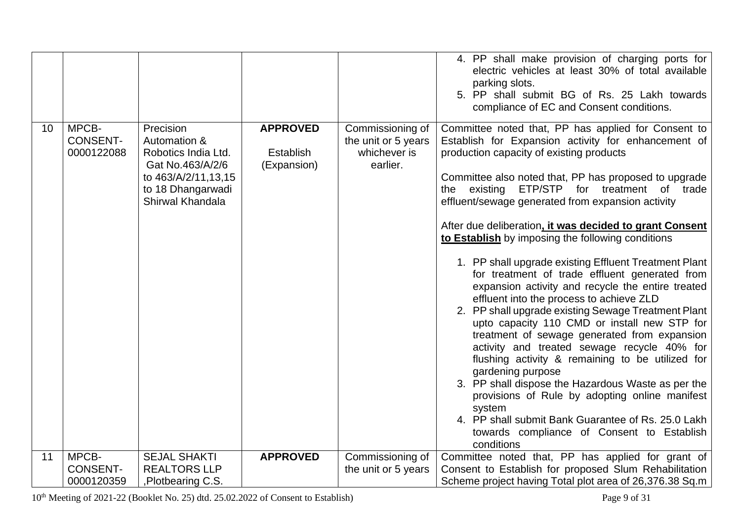|                 |                                        |                                                                                                                                      |                                             |                                                                     | 4. PP shall make provision of charging ports for<br>electric vehicles at least 30% of total available<br>parking slots.<br>5. PP shall submit BG of Rs. 25 Lakh towards<br>compliance of EC and Consent conditions.                                                                                                                                                                                                                                                                                                                                                                                                                                                                                                                                                                                                                                                                                                                                                                                                                                                                                                                                                |
|-----------------|----------------------------------------|--------------------------------------------------------------------------------------------------------------------------------------|---------------------------------------------|---------------------------------------------------------------------|--------------------------------------------------------------------------------------------------------------------------------------------------------------------------------------------------------------------------------------------------------------------------------------------------------------------------------------------------------------------------------------------------------------------------------------------------------------------------------------------------------------------------------------------------------------------------------------------------------------------------------------------------------------------------------------------------------------------------------------------------------------------------------------------------------------------------------------------------------------------------------------------------------------------------------------------------------------------------------------------------------------------------------------------------------------------------------------------------------------------------------------------------------------------|
| 10 <sup>°</sup> | MPCB-<br><b>CONSENT-</b><br>0000122088 | Precision<br>Automation &<br>Robotics India Ltd.<br>Gat No.463/A/2/6<br>to 463/A/2/11,13,15<br>to 18 Dhangarwadi<br>Shirwal Khandala | <b>APPROVED</b><br>Establish<br>(Expansion) | Commissioning of<br>the unit or 5 years<br>whichever is<br>earlier. | Committee noted that, PP has applied for Consent to<br>Establish for Expansion activity for enhancement of<br>production capacity of existing products<br>Committee also noted that, PP has proposed to upgrade<br>the existing ETP/STP for treatment of trade<br>effluent/sewage generated from expansion activity<br>After due deliberation, it was decided to grant Consent<br>to Establish by imposing the following conditions<br>1. PP shall upgrade existing Effluent Treatment Plant<br>for treatment of trade effluent generated from<br>expansion activity and recycle the entire treated<br>effluent into the process to achieve ZLD<br>2. PP shall upgrade existing Sewage Treatment Plant<br>upto capacity 110 CMD or install new STP for<br>treatment of sewage generated from expansion<br>activity and treated sewage recycle 40% for<br>flushing activity & remaining to be utilized for<br>gardening purpose<br>3. PP shall dispose the Hazardous Waste as per the<br>provisions of Rule by adopting online manifest<br>system<br>4. PP shall submit Bank Guarantee of Rs. 25.0 Lakh<br>towards compliance of Consent to Establish<br>conditions |
| 11              | MPCB-                                  | <b>SEJAL SHAKTI</b>                                                                                                                  | <b>APPROVED</b>                             | Commissioning of                                                    | Committee noted that, PP has applied for grant of                                                                                                                                                                                                                                                                                                                                                                                                                                                                                                                                                                                                                                                                                                                                                                                                                                                                                                                                                                                                                                                                                                                  |
|                 | <b>CONSENT-</b>                        | <b>REALTORS LLP</b>                                                                                                                  |                                             | the unit or 5 years                                                 | Consent to Establish for proposed Slum Rehabilitation                                                                                                                                                                                                                                                                                                                                                                                                                                                                                                                                                                                                                                                                                                                                                                                                                                                                                                                                                                                                                                                                                                              |
|                 | 0000120359                             | ,Plotbearing C.S.                                                                                                                    |                                             |                                                                     | Scheme project having Total plot area of 26,376.38 Sq.m                                                                                                                                                                                                                                                                                                                                                                                                                                                                                                                                                                                                                                                                                                                                                                                                                                                                                                                                                                                                                                                                                                            |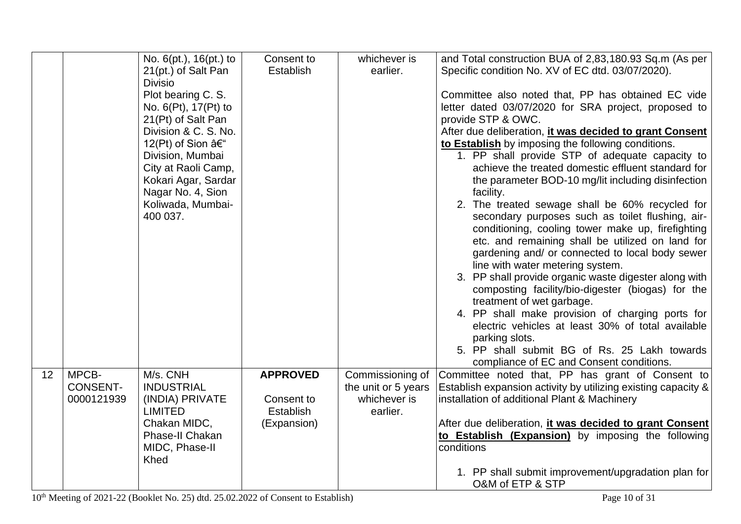|    |                 | No. $6(pt.)$ , $16(pt.)$ to                                                                                                                                                                                                                            | Consent to              | whichever is             | and Total construction BUA of 2,83,180.93 Sq.m (As per                                                                                                                                                                                                                                                                                                                                                                                                                                                                                                                                                                                                                                                                                                                                                                                                                                                                                                                                                                                                     |
|----|-----------------|--------------------------------------------------------------------------------------------------------------------------------------------------------------------------------------------------------------------------------------------------------|-------------------------|--------------------------|------------------------------------------------------------------------------------------------------------------------------------------------------------------------------------------------------------------------------------------------------------------------------------------------------------------------------------------------------------------------------------------------------------------------------------------------------------------------------------------------------------------------------------------------------------------------------------------------------------------------------------------------------------------------------------------------------------------------------------------------------------------------------------------------------------------------------------------------------------------------------------------------------------------------------------------------------------------------------------------------------------------------------------------------------------|
|    |                 | 21(pt.) of Salt Pan                                                                                                                                                                                                                                    | Establish               | earlier.                 | Specific condition No. XV of EC dtd. 03/07/2020).                                                                                                                                                                                                                                                                                                                                                                                                                                                                                                                                                                                                                                                                                                                                                                                                                                                                                                                                                                                                          |
|    |                 | <b>Divisio</b><br>Plot bearing C. S.<br>No. 6(Pt), 17(Pt) to<br>21(Pt) of Salt Pan<br>Division & C. S. No.<br>12(Pt) of Sion –<br>Division, Mumbai<br>City at Raoli Camp,<br>Kokari Agar, Sardar<br>Nagar No. 4, Sion<br>Koliwada, Mumbai-<br>400 037. |                         |                          | Committee also noted that, PP has obtained EC vide<br>letter dated 03/07/2020 for SRA project, proposed to<br>provide STP & OWC.<br>After due deliberation, it was decided to grant Consent<br>to Establish by imposing the following conditions.<br>1. PP shall provide STP of adequate capacity to<br>achieve the treated domestic effluent standard for<br>the parameter BOD-10 mg/lit including disinfection<br>facility.<br>2. The treated sewage shall be 60% recycled for<br>secondary purposes such as toilet flushing, air-<br>conditioning, cooling tower make up, firefighting<br>etc. and remaining shall be utilized on land for<br>gardening and/ or connected to local body sewer<br>line with water metering system.<br>3. PP shall provide organic waste digester along with<br>composting facility/bio-digester (biogas) for the<br>treatment of wet garbage.<br>4. PP shall make provision of charging ports for<br>electric vehicles at least 30% of total available<br>parking slots.<br>5. PP shall submit BG of Rs. 25 Lakh towards |
| 12 | MPCB-           | M/s. CNH                                                                                                                                                                                                                                               | <b>APPROVED</b>         | Commissioning of         | compliance of EC and Consent conditions.<br>Committee noted that, PP has grant of Consent to                                                                                                                                                                                                                                                                                                                                                                                                                                                                                                                                                                                                                                                                                                                                                                                                                                                                                                                                                               |
|    | <b>CONSENT-</b> | <b>INDUSTRIAL</b>                                                                                                                                                                                                                                      |                         | the unit or 5 years      | Establish expansion activity by utilizing existing capacity &                                                                                                                                                                                                                                                                                                                                                                                                                                                                                                                                                                                                                                                                                                                                                                                                                                                                                                                                                                                              |
|    | 0000121939      | (INDIA) PRIVATE<br><b>LIMITED</b>                                                                                                                                                                                                                      | Consent to<br>Establish | whichever is<br>earlier. | installation of additional Plant & Machinery                                                                                                                                                                                                                                                                                                                                                                                                                                                                                                                                                                                                                                                                                                                                                                                                                                                                                                                                                                                                               |
|    |                 | Chakan MIDC,                                                                                                                                                                                                                                           | (Expansion)             |                          | After due deliberation, it was decided to grant Consent                                                                                                                                                                                                                                                                                                                                                                                                                                                                                                                                                                                                                                                                                                                                                                                                                                                                                                                                                                                                    |
|    |                 | Phase-II Chakan<br>MIDC, Phase-II<br><b>Khed</b>                                                                                                                                                                                                       |                         |                          | to Establish (Expansion) by imposing the following<br>conditions                                                                                                                                                                                                                                                                                                                                                                                                                                                                                                                                                                                                                                                                                                                                                                                                                                                                                                                                                                                           |
|    |                 |                                                                                                                                                                                                                                                        |                         |                          | 1. PP shall submit improvement/upgradation plan for                                                                                                                                                                                                                                                                                                                                                                                                                                                                                                                                                                                                                                                                                                                                                                                                                                                                                                                                                                                                        |
|    |                 |                                                                                                                                                                                                                                                        |                         |                          | O&M of ETP & STP                                                                                                                                                                                                                                                                                                                                                                                                                                                                                                                                                                                                                                                                                                                                                                                                                                                                                                                                                                                                                                           |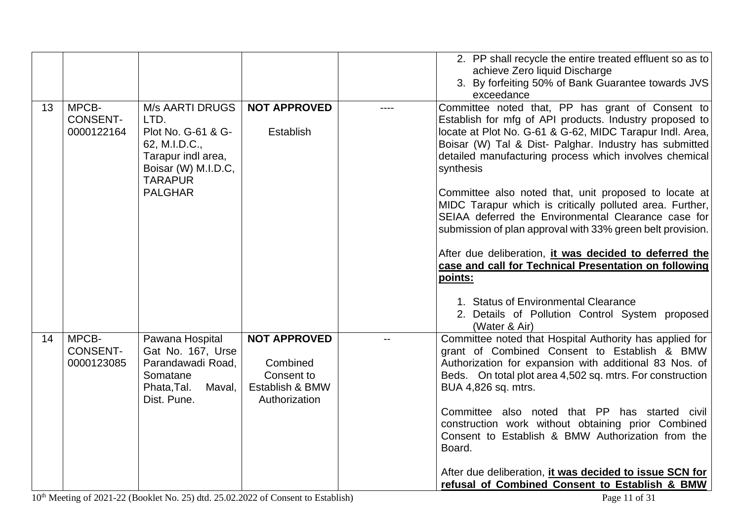|                                              |                                                                                                                                                        |                                                                                   | 2. PP shall recycle the entire treated effluent so as to                                                                                                                                                                                                                                                                                                                                                                                                                                                                                                                                                                                                                         |
|----------------------------------------------|--------------------------------------------------------------------------------------------------------------------------------------------------------|-----------------------------------------------------------------------------------|----------------------------------------------------------------------------------------------------------------------------------------------------------------------------------------------------------------------------------------------------------------------------------------------------------------------------------------------------------------------------------------------------------------------------------------------------------------------------------------------------------------------------------------------------------------------------------------------------------------------------------------------------------------------------------|
|                                              |                                                                                                                                                        |                                                                                   | achieve Zero liquid Discharge                                                                                                                                                                                                                                                                                                                                                                                                                                                                                                                                                                                                                                                    |
|                                              |                                                                                                                                                        |                                                                                   | 3. By forfeiting 50% of Bank Guarantee towards JVS                                                                                                                                                                                                                                                                                                                                                                                                                                                                                                                                                                                                                               |
|                                              |                                                                                                                                                        |                                                                                   | exceedance                                                                                                                                                                                                                                                                                                                                                                                                                                                                                                                                                                                                                                                                       |
| MPCB-<br>13<br><b>CONSENT-</b><br>0000122164 | <b>M/s AARTI DRUGS</b><br>LTD.<br>Plot No. G-61 & G-<br>62, M.I.D.C.,<br>Tarapur indl area,<br>Boisar (W) M.I.D.C,<br><b>TARAPUR</b><br><b>PALGHAR</b> | <b>NOT APPROVED</b><br>Establish                                                  | Committee noted that, PP has grant of Consent to<br>Establish for mfg of API products. Industry proposed to<br>locate at Plot No. G-61 & G-62, MIDC Tarapur Indl. Area,<br>Boisar (W) Tal & Dist- Palghar. Industry has submitted<br>detailed manufacturing process which involves chemical<br>synthesis<br>Committee also noted that, unit proposed to locate at<br>MIDC Tarapur which is critically polluted area. Further,<br>SEIAA deferred the Environmental Clearance case for<br>submission of plan approval with 33% green belt provision.<br>After due deliberation, it was decided to deferred the<br>case and call for Technical Presentation on following<br>points: |
|                                              |                                                                                                                                                        |                                                                                   | 1. Status of Environmental Clearance<br>2. Details of Pollution Control System proposed<br>(Water & Air)                                                                                                                                                                                                                                                                                                                                                                                                                                                                                                                                                                         |
| MPCB-<br>14<br><b>CONSENT-</b><br>0000123085 | Pawana Hospital<br>Gat No. 167, Urse<br>Parandawadi Road,<br>Somatane<br>Phata, Tal.<br>Maval,<br>Dist. Pune.                                          | <b>NOT APPROVED</b><br>Combined<br>Consent to<br>Establish & BMW<br>Authorization | Committee noted that Hospital Authority has applied for<br>grant of Combined Consent to Establish & BMW<br>Authorization for expansion with additional 83 Nos. of<br>Beds. On total plot area 4,502 sq. mtrs. For construction<br>BUA 4,826 sq. mtrs.<br>Committee also noted that PP has started civil<br>construction work without obtaining prior Combined<br>Consent to Establish & BMW Authorization from the<br>Board.<br>After due deliberation, it was decided to issue SCN for<br>refusal of Combined Consent to Establish & BMW                                                                                                                                        |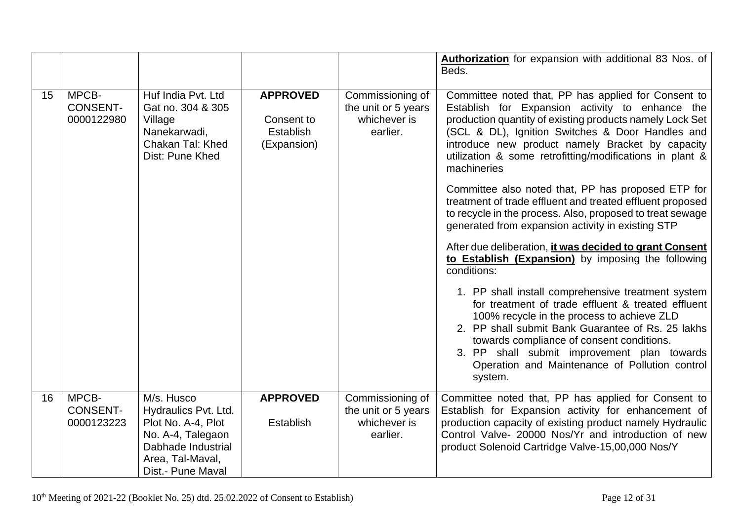|    |                                        |                                                                                                                                              |                                                           |                                                                     | Authorization for expansion with additional 83 Nos. of<br>Beds.                                                                                                                                                                                                                                                                                                                                                                                                                                                                                                                            |
|----|----------------------------------------|----------------------------------------------------------------------------------------------------------------------------------------------|-----------------------------------------------------------|---------------------------------------------------------------------|--------------------------------------------------------------------------------------------------------------------------------------------------------------------------------------------------------------------------------------------------------------------------------------------------------------------------------------------------------------------------------------------------------------------------------------------------------------------------------------------------------------------------------------------------------------------------------------------|
| 15 | MPCB-<br><b>CONSENT-</b><br>0000122980 | Huf India Pvt. Ltd<br>Gat no. 304 & 305<br>Village<br>Nanekarwadi,<br>Chakan Tal: Khed<br>Dist: Pune Khed                                    | <b>APPROVED</b><br>Consent to<br>Establish<br>(Expansion) | Commissioning of<br>the unit or 5 years<br>whichever is<br>earlier. | Committee noted that, PP has applied for Consent to<br>Establish for Expansion activity to enhance the<br>production quantity of existing products namely Lock Set<br>(SCL & DL), Ignition Switches & Door Handles and<br>introduce new product namely Bracket by capacity<br>utilization & some retrofitting/modifications in plant &<br>machineries<br>Committee also noted that, PP has proposed ETP for<br>treatment of trade effluent and treated effluent proposed<br>to recycle in the process. Also, proposed to treat sewage<br>generated from expansion activity in existing STP |
|    |                                        |                                                                                                                                              |                                                           |                                                                     | After due deliberation, it was decided to grant Consent<br>to Establish (Expansion) by imposing the following<br>conditions:                                                                                                                                                                                                                                                                                                                                                                                                                                                               |
|    |                                        |                                                                                                                                              |                                                           |                                                                     | 1. PP shall install comprehensive treatment system<br>for treatment of trade effluent & treated effluent<br>100% recycle in the process to achieve ZLD<br>2. PP shall submit Bank Guarantee of Rs. 25 lakhs<br>towards compliance of consent conditions.<br>3. PP shall submit improvement plan towards<br>Operation and Maintenance of Pollution control<br>system.                                                                                                                                                                                                                       |
| 16 | MPCB-<br><b>CONSENT-</b><br>0000123223 | M/s. Husco<br>Hydraulics Pvt. Ltd.<br>Plot No. A-4, Plot<br>No. A-4, Talegaon<br>Dabhade Industrial<br>Area, Tal-Maval,<br>Dist.- Pune Maval | <b>APPROVED</b><br>Establish                              | Commissioning of<br>the unit or 5 years<br>whichever is<br>earlier. | Committee noted that, PP has applied for Consent to<br>Establish for Expansion activity for enhancement of<br>production capacity of existing product namely Hydraulic<br>Control Valve- 20000 Nos/Yr and introduction of new<br>product Solenoid Cartridge Valve-15,00,000 Nos/Y                                                                                                                                                                                                                                                                                                          |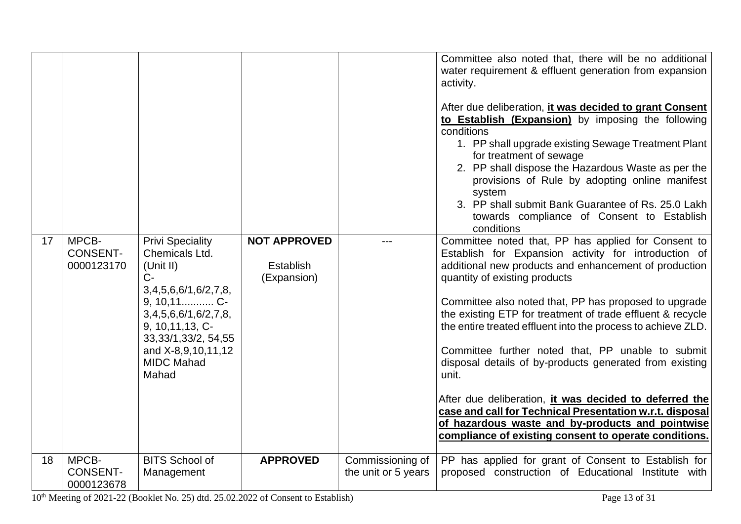|    |                                        |                                                                                                                                                                                                                                    |                                                 |                                         | Committee also noted that, there will be no additional<br>water requirement & effluent generation from expansion<br>activity.<br>After due deliberation, it was decided to grant Consent<br>to Establish (Expansion) by imposing the following<br>conditions<br>1. PP shall upgrade existing Sewage Treatment Plant<br>for treatment of sewage<br>2. PP shall dispose the Hazardous Waste as per the<br>provisions of Rule by adopting online manifest<br>system<br>3. PP shall submit Bank Guarantee of Rs. 25.0 Lakh<br>towards compliance of Consent to Establish<br>conditions                                                                                                                                                                              |
|----|----------------------------------------|------------------------------------------------------------------------------------------------------------------------------------------------------------------------------------------------------------------------------------|-------------------------------------------------|-----------------------------------------|-----------------------------------------------------------------------------------------------------------------------------------------------------------------------------------------------------------------------------------------------------------------------------------------------------------------------------------------------------------------------------------------------------------------------------------------------------------------------------------------------------------------------------------------------------------------------------------------------------------------------------------------------------------------------------------------------------------------------------------------------------------------|
| 17 | MPCB-<br><b>CONSENT-</b><br>0000123170 | <b>Privi Speciality</b><br>Chemicals Ltd.<br>(Unit II)<br>$C -$<br>3,4,5,6,6/1,6/2,7,8,<br>9, 10, 11 C-<br>3,4,5,6,6/1,6/2,7,8,<br>9, 10, 11, 13, C-<br>33, 33/1, 33/2, 54, 55<br>and X-8,9,10,11,12<br><b>MIDC Mahad</b><br>Mahad | <b>NOT APPROVED</b><br>Establish<br>(Expansion) |                                         | Committee noted that, PP has applied for Consent to<br>Establish for Expansion activity for introduction of<br>additional new products and enhancement of production<br>quantity of existing products<br>Committee also noted that, PP has proposed to upgrade<br>the existing ETP for treatment of trade effluent & recycle<br>the entire treated effluent into the process to achieve ZLD.<br>Committee further noted that, PP unable to submit<br>disposal details of by-products generated from existing<br>unit.<br>After due deliberation, <i>it was decided to deferred the</i><br>case and call for Technical Presentation w.r.t. disposal<br>of hazardous waste and by-products and pointwise<br>compliance of existing consent to operate conditions. |
| 18 | MPCB-<br><b>CONSENT-</b><br>0000123678 | <b>BITS School of</b><br>Management                                                                                                                                                                                                | <b>APPROVED</b>                                 | Commissioning of<br>the unit or 5 years | PP has applied for grant of Consent to Establish for<br>proposed construction of Educational Institute with                                                                                                                                                                                                                                                                                                                                                                                                                                                                                                                                                                                                                                                     |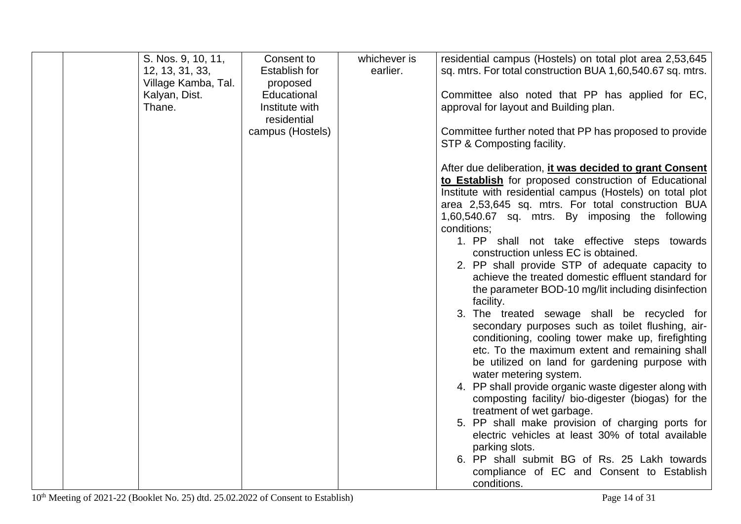| S. Nos. 9, 10, 11,  | Consent to       | whichever is | residential campus (Hostels) on total plot area 2,53,645   |
|---------------------|------------------|--------------|------------------------------------------------------------|
| 12, 13, 31, 33,     | Establish for    | earlier.     | sq. mtrs. For total construction BUA 1,60,540.67 sq. mtrs. |
|                     |                  |              |                                                            |
| Village Kamba, Tal. | proposed         |              |                                                            |
| Kalyan, Dist.       | Educational      |              | Committee also noted that PP has applied for EC,           |
| Thane.              | Institute with   |              | approval for layout and Building plan.                     |
|                     | residential      |              |                                                            |
|                     | campus (Hostels) |              | Committee further noted that PP has proposed to provide    |
|                     |                  |              | STP & Composting facility.                                 |
|                     |                  |              |                                                            |
|                     |                  |              | After due deliberation, it was decided to grant Consent    |
|                     |                  |              | to Establish for proposed construction of Educational      |
|                     |                  |              | Institute with residential campus (Hostels) on total plot  |
|                     |                  |              | area 2,53,645 sq. mtrs. For total construction BUA         |
|                     |                  |              | 1,60,540.67 sq. mtrs. By imposing the following            |
|                     |                  |              | conditions;                                                |
|                     |                  |              | 1. PP shall not take effective steps towards               |
|                     |                  |              | construction unless EC is obtained.                        |
|                     |                  |              | 2. PP shall provide STP of adequate capacity to            |
|                     |                  |              | achieve the treated domestic effluent standard for         |
|                     |                  |              | the parameter BOD-10 mg/lit including disinfection         |
|                     |                  |              |                                                            |
|                     |                  |              | facility.                                                  |
|                     |                  |              | 3. The treated sewage shall be recycled for                |
|                     |                  |              | secondary purposes such as toilet flushing, air-           |
|                     |                  |              | conditioning, cooling tower make up, firefighting          |
|                     |                  |              | etc. To the maximum extent and remaining shall             |
|                     |                  |              | be utilized on land for gardening purpose with             |
|                     |                  |              | water metering system.                                     |
|                     |                  |              | 4. PP shall provide organic waste digester along with      |
|                     |                  |              | composting facility/ bio-digester (biogas) for the         |
|                     |                  |              | treatment of wet garbage.                                  |
|                     |                  |              | 5. PP shall make provision of charging ports for           |
|                     |                  |              | electric vehicles at least 30% of total available          |
|                     |                  |              | parking slots.                                             |
|                     |                  |              | 6. PP shall submit BG of Rs. 25 Lakh towards               |
|                     |                  |              | compliance of EC and Consent to Establish                  |
|                     |                  |              | conditions.                                                |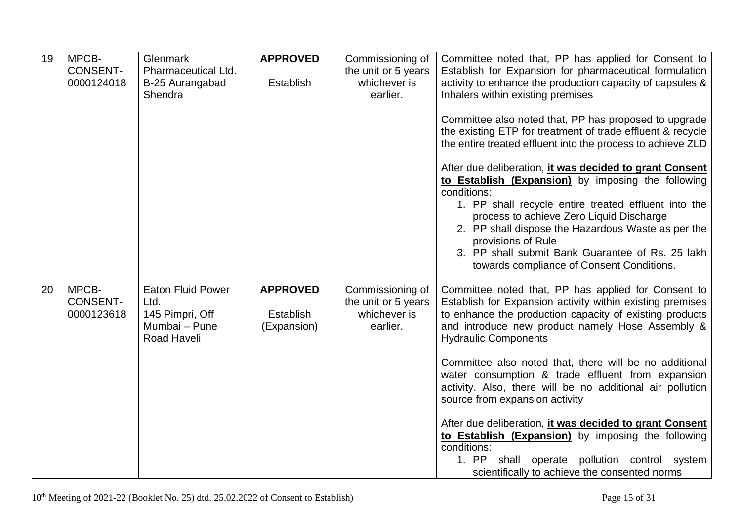| 19 | MPCB-<br><b>CONSENT-</b><br>0000124018 | Glenmark<br>Pharmaceutical Ltd.<br>B-25 Aurangabad<br>Shendra                       | <b>APPROVED</b><br><b>Establish</b>         | Commissioning of<br>the unit or 5 years<br>whichever is<br>earlier. | Committee noted that, PP has applied for Consent to<br>Establish for Expansion for pharmaceutical formulation<br>activity to enhance the production capacity of capsules &<br>Inhalers within existing premises<br>Committee also noted that, PP has proposed to upgrade<br>the existing ETP for treatment of trade effluent & recycle<br>the entire treated effluent into the process to achieve ZLD<br>After due deliberation, it was decided to grant Consent<br>to Establish (Expansion) by imposing the following<br>conditions:<br>1. PP shall recycle entire treated effluent into the<br>process to achieve Zero Liquid Discharge<br>2. PP shall dispose the Hazardous Waste as per the<br>provisions of Rule<br>3. PP shall submit Bank Guarantee of Rs. 25 lakh |
|----|----------------------------------------|-------------------------------------------------------------------------------------|---------------------------------------------|---------------------------------------------------------------------|---------------------------------------------------------------------------------------------------------------------------------------------------------------------------------------------------------------------------------------------------------------------------------------------------------------------------------------------------------------------------------------------------------------------------------------------------------------------------------------------------------------------------------------------------------------------------------------------------------------------------------------------------------------------------------------------------------------------------------------------------------------------------|
| 20 | MPCB-<br><b>CONSENT-</b><br>0000123618 | <b>Eaton Fluid Power</b><br>Ltd.<br>145 Pimpri, Off<br>Mumbai - Pune<br>Road Haveli | <b>APPROVED</b><br>Establish<br>(Expansion) | Commissioning of<br>the unit or 5 years<br>whichever is<br>earlier. | towards compliance of Consent Conditions.<br>Committee noted that, PP has applied for Consent to<br>Establish for Expansion activity within existing premises<br>to enhance the production capacity of existing products<br>and introduce new product namely Hose Assembly &<br><b>Hydraulic Components</b><br>Committee also noted that, there will be no additional<br>water consumption & trade effluent from expansion<br>activity. Also, there will be no additional air pollution<br>source from expansion activity<br>After due deliberation, it was decided to grant Consent<br>to Establish (Expansion) by imposing the following<br>conditions:<br>1. PP shall operate pollution control system<br>scientifically to achieve the consented norms                |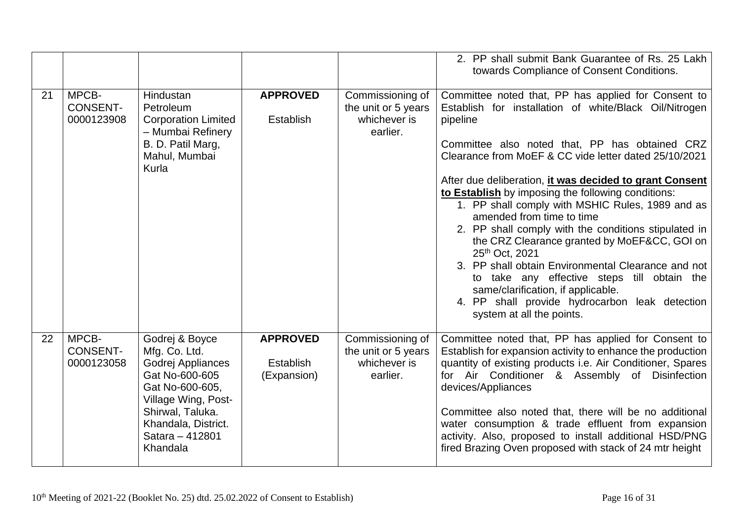|    |                                        |                                                                                                                                                                                            |                                                    |                                                                     | 2. PP shall submit Bank Guarantee of Rs. 25 Lakh<br>towards Compliance of Consent Conditions.                                                                                                                                                                                                                                                                                                                                                                                                                                                      |
|----|----------------------------------------|--------------------------------------------------------------------------------------------------------------------------------------------------------------------------------------------|----------------------------------------------------|---------------------------------------------------------------------|----------------------------------------------------------------------------------------------------------------------------------------------------------------------------------------------------------------------------------------------------------------------------------------------------------------------------------------------------------------------------------------------------------------------------------------------------------------------------------------------------------------------------------------------------|
| 21 | MPCB-<br><b>CONSENT-</b><br>0000123908 | Hindustan<br>Petroleum<br><b>Corporation Limited</b><br>- Mumbai Refinery<br>B. D. Patil Marg,<br>Mahul, Mumbai                                                                            | <b>APPROVED</b><br>Establish                       | Commissioning of<br>the unit or 5 years<br>whichever is<br>earlier. | Committee noted that, PP has applied for Consent to<br>Establish for installation of white/Black Oil/Nitrogen<br>pipeline<br>Committee also noted that, PP has obtained CRZ<br>Clearance from MoEF & CC vide letter dated 25/10/2021                                                                                                                                                                                                                                                                                                               |
|    |                                        | Kurla                                                                                                                                                                                      |                                                    |                                                                     | After due deliberation, it was decided to grant Consent<br>to Establish by imposing the following conditions:<br>1. PP shall comply with MSHIC Rules, 1989 and as<br>amended from time to time<br>2. PP shall comply with the conditions stipulated in<br>the CRZ Clearance granted by MoEF&CC, GOI on<br>25th Oct, 2021<br>3. PP shall obtain Environmental Clearance and not<br>to take any effective steps till obtain the<br>same/clarification, if applicable.<br>4. PP shall provide hydrocarbon leak detection<br>system at all the points. |
| 22 | MPCB-<br><b>CONSENT-</b><br>0000123058 | Godrej & Boyce<br>Mfg. Co. Ltd.<br>Godrej Appliances<br>Gat No-600-605<br>Gat No-600-605,<br>Village Wing, Post-<br>Shirwal, Taluka.<br>Khandala, District.<br>Satara - 412801<br>Khandala | <b>APPROVED</b><br><b>Establish</b><br>(Expansion) | Commissioning of<br>the unit or 5 years<br>whichever is<br>earlier. | Committee noted that, PP has applied for Consent to<br>Establish for expansion activity to enhance the production<br>quantity of existing products i.e. Air Conditioner, Spares<br>for Air Conditioner & Assembly of Disinfection<br>devices/Appliances<br>Committee also noted that, there will be no additional<br>water consumption & trade effluent from expansion<br>activity. Also, proposed to install additional HSD/PNG<br>fired Brazing Oven proposed with stack of 24 mtr height                                                        |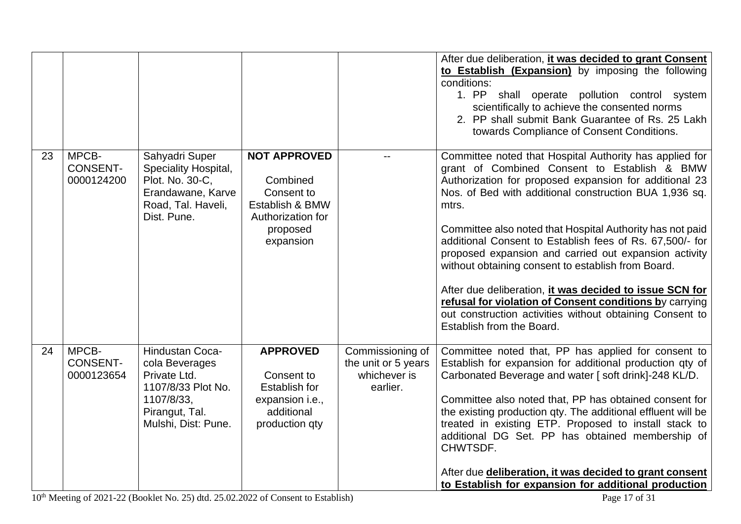|    |                                        |                                                                                                                                       |                                                                                                                |                                                                     | After due deliberation, <i>it was decided to grant Consent</i><br>to Establish (Expansion) by imposing the following<br>conditions:<br>1. PP shall operate pollution control system<br>scientifically to achieve the consented norms<br>2. PP shall submit Bank Guarantee of Rs. 25 Lakh<br>towards Compliance of Consent Conditions.                                                                                                                                                                                                                                                                                                                                                       |
|----|----------------------------------------|---------------------------------------------------------------------------------------------------------------------------------------|----------------------------------------------------------------------------------------------------------------|---------------------------------------------------------------------|---------------------------------------------------------------------------------------------------------------------------------------------------------------------------------------------------------------------------------------------------------------------------------------------------------------------------------------------------------------------------------------------------------------------------------------------------------------------------------------------------------------------------------------------------------------------------------------------------------------------------------------------------------------------------------------------|
| 23 | MPCB-<br><b>CONSENT-</b><br>0000124200 | Sahyadri Super<br>Speciality Hospital,<br>Plot. No. 30-C,<br>Erandawane, Karve<br>Road, Tal. Haveli,<br>Dist. Pune.                   | <b>NOT APPROVED</b><br>Combined<br>Consent to<br>Establish & BMW<br>Authorization for<br>proposed<br>expansion |                                                                     | Committee noted that Hospital Authority has applied for<br>grant of Combined Consent to Establish & BMW<br>Authorization for proposed expansion for additional 23<br>Nos. of Bed with additional construction BUA 1,936 sq.<br>mtrs.<br>Committee also noted that Hospital Authority has not paid<br>additional Consent to Establish fees of Rs. 67,500/- for<br>proposed expansion and carried out expansion activity<br>without obtaining consent to establish from Board.<br>After due deliberation, it was decided to issue SCN for<br>refusal for violation of Consent conditions by carrying<br>out construction activities without obtaining Consent to<br>Establish from the Board. |
| 24 | MPCB-<br><b>CONSENT-</b><br>0000123654 | <b>Hindustan Coca-</b><br>cola Beverages<br>Private Ltd.<br>1107/8/33 Plot No.<br>1107/8/33,<br>Pirangut, Tal.<br>Mulshi, Dist: Pune. | <b>APPROVED</b><br>Consent to<br><b>Establish for</b><br>expansion i.e.,<br>additional<br>production qty       | Commissioning of<br>the unit or 5 years<br>whichever is<br>earlier. | Committee noted that, PP has applied for consent to<br>Establish for expansion for additional production qty of<br>Carbonated Beverage and water [soft drink]-248 KL/D.<br>Committee also noted that, PP has obtained consent for<br>the existing production qty. The additional effluent will be<br>treated in existing ETP. Proposed to install stack to<br>additional DG Set. PP has obtained membership of<br>CHWTSDF.<br>After due deliberation, it was decided to grant consent<br>to Establish for expansion for additional production                                                                                                                                               |

10<sup>th</sup> Meeting of 2021-22 (Booklet No. 25) dtd. 25.02.2022 of Consent to Establish) Page 17 of 31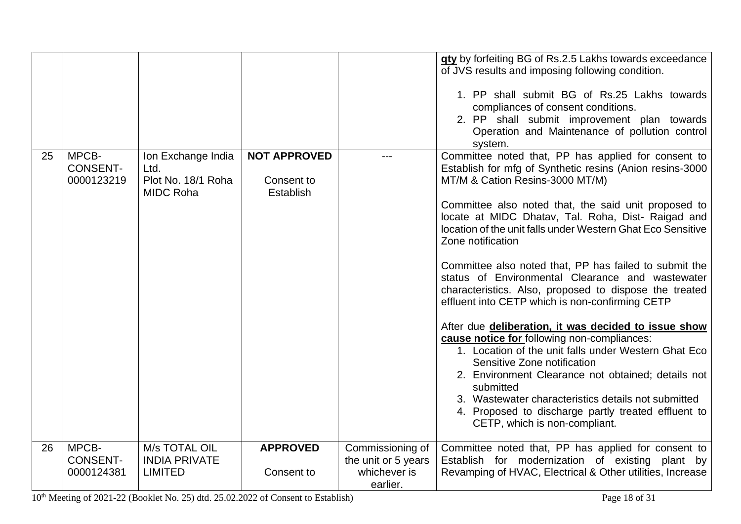|    |                                        |                                                                      |                                                |                                                                     | gty by forfeiting BG of Rs.2.5 Lakhs towards exceedance<br>of JVS results and imposing following condition.<br>1. PP shall submit BG of Rs.25 Lakhs towards<br>compliances of consent conditions.<br>2. PP shall submit improvement plan towards<br>Operation and Maintenance of pollution control<br>system.                                                                                                                                                                                                                                                                                                                                                                                                                                                                                                                                                                                                                                                                                   |
|----|----------------------------------------|----------------------------------------------------------------------|------------------------------------------------|---------------------------------------------------------------------|-------------------------------------------------------------------------------------------------------------------------------------------------------------------------------------------------------------------------------------------------------------------------------------------------------------------------------------------------------------------------------------------------------------------------------------------------------------------------------------------------------------------------------------------------------------------------------------------------------------------------------------------------------------------------------------------------------------------------------------------------------------------------------------------------------------------------------------------------------------------------------------------------------------------------------------------------------------------------------------------------|
| 25 | MPCB-<br><b>CONSENT-</b><br>0000123219 | Ion Exchange India<br>Ltd.<br>Plot No. 18/1 Roha<br><b>MIDC Roha</b> | <b>NOT APPROVED</b><br>Consent to<br>Establish |                                                                     | Committee noted that, PP has applied for consent to<br>Establish for mfg of Synthetic resins (Anion resins-3000<br>MT/M & Cation Resins-3000 MT/M)<br>Committee also noted that, the said unit proposed to<br>locate at MIDC Dhatav, Tal. Roha, Dist- Raigad and<br>location of the unit falls under Western Ghat Eco Sensitive<br>Zone notification<br>Committee also noted that, PP has failed to submit the<br>status of Environmental Clearance and wastewater<br>characteristics. Also, proposed to dispose the treated<br>effluent into CETP which is non-confirming CETP<br>After due deliberation, it was decided to issue show<br>cause notice for following non-compliances:<br>1. Location of the unit falls under Western Ghat Eco<br>Sensitive Zone notification<br>2. Environment Clearance not obtained; details not<br>submitted<br>3. Wastewater characteristics details not submitted<br>4. Proposed to discharge partly treated effluent to<br>CETP, which is non-compliant. |
| 26 | MPCB-<br><b>CONSENT-</b><br>0000124381 | M/s TOTAL OIL<br><b>INDIA PRIVATE</b><br><b>LIMITED</b>              | <b>APPROVED</b><br>Consent to                  | Commissioning of<br>the unit or 5 years<br>whichever is<br>earlier. | Committee noted that, PP has applied for consent to<br>Establish for modernization of existing plant by<br>Revamping of HVAC, Electrical & Other utilities, Increase                                                                                                                                                                                                                                                                                                                                                                                                                                                                                                                                                                                                                                                                                                                                                                                                                            |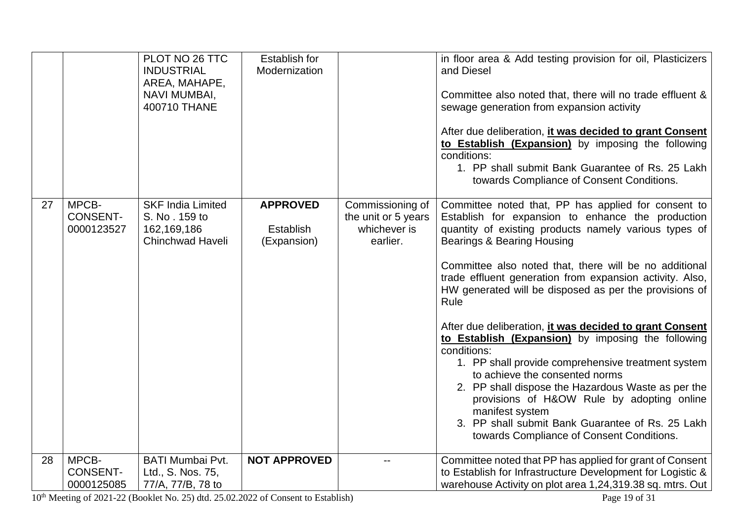|    |                                        | PLOT NO 26 TTC<br><b>INDUSTRIAL</b><br>AREA, MAHAPE,<br>NAVI MUMBAI,<br>400710 THANE | <b>Establish for</b><br>Modernization              |                                                                     | in floor area & Add testing provision for oil, Plasticizers<br>and Diesel<br>Committee also noted that, there will no trade effluent &<br>sewage generation from expansion activity<br>After due deliberation, it was decided to grant Consent<br>to Establish (Expansion) by imposing the following<br>conditions:<br>1. PP shall submit Bank Guarantee of Rs. 25 Lakh<br>towards Compliance of Consent Conditions.                                                                                                                                                                                                                                                                                                                                                                                                                               |
|----|----------------------------------------|--------------------------------------------------------------------------------------|----------------------------------------------------|---------------------------------------------------------------------|----------------------------------------------------------------------------------------------------------------------------------------------------------------------------------------------------------------------------------------------------------------------------------------------------------------------------------------------------------------------------------------------------------------------------------------------------------------------------------------------------------------------------------------------------------------------------------------------------------------------------------------------------------------------------------------------------------------------------------------------------------------------------------------------------------------------------------------------------|
| 27 | MPCB-<br><b>CONSENT-</b><br>0000123527 | <b>SKF India Limited</b><br>S. No. 159 to<br>162,169,186<br><b>Chinchwad Haveli</b>  | <b>APPROVED</b><br><b>Establish</b><br>(Expansion) | Commissioning of<br>the unit or 5 years<br>whichever is<br>earlier. | Committee noted that, PP has applied for consent to<br>Establish for expansion to enhance the production<br>quantity of existing products namely various types of<br><b>Bearings &amp; Bearing Housing</b><br>Committee also noted that, there will be no additional<br>trade effluent generation from expansion activity. Also,<br>HW generated will be disposed as per the provisions of<br>Rule<br>After due deliberation, it was decided to grant Consent<br>to Establish (Expansion) by imposing the following<br>conditions:<br>1. PP shall provide comprehensive treatment system<br>to achieve the consented norms<br>2. PP shall dispose the Hazardous Waste as per the<br>provisions of H&OW Rule by adopting online<br>manifest system<br>3. PP shall submit Bank Guarantee of Rs. 25 Lakh<br>towards Compliance of Consent Conditions. |
| 28 | MPCB-<br><b>CONSENT-</b><br>0000125085 | <b>BATI Mumbai Pvt.</b><br>Ltd., S. Nos. 75,<br>77/A, 77/B, 78 to                    | <b>NOT APPROVED</b>                                |                                                                     | Committee noted that PP has applied for grant of Consent<br>to Establish for Infrastructure Development for Logistic &<br>warehouse Activity on plot area 1,24,319.38 sq. mtrs. Out                                                                                                                                                                                                                                                                                                                                                                                                                                                                                                                                                                                                                                                                |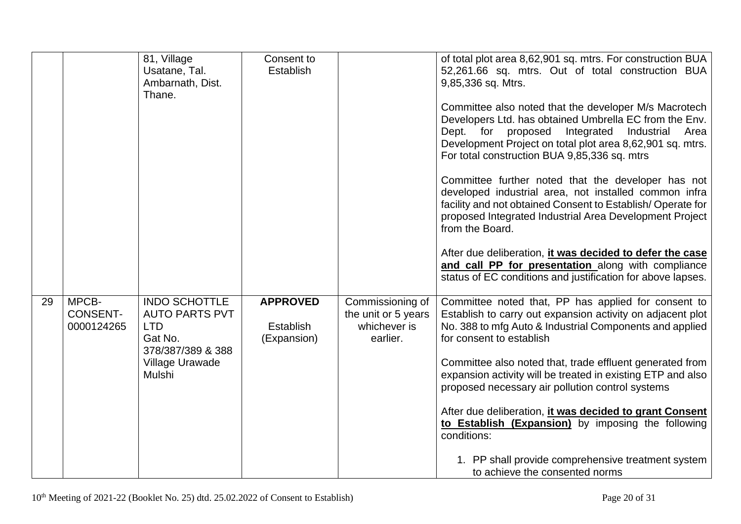|    |                                        | 81, Village<br>Usatane, Tal.<br>Ambarnath, Dist.<br>Thane.                                  | Consent to<br>Establish                            |                                                                     | of total plot area 8,62,901 sq. mtrs. For construction BUA<br>52,261.66 sq. mtrs. Out of total construction BUA<br>9,85,336 sq. Mtrs.                                                                                                                                                  |
|----|----------------------------------------|---------------------------------------------------------------------------------------------|----------------------------------------------------|---------------------------------------------------------------------|----------------------------------------------------------------------------------------------------------------------------------------------------------------------------------------------------------------------------------------------------------------------------------------|
|    |                                        |                                                                                             |                                                    |                                                                     | Committee also noted that the developer M/s Macrotech<br>Developers Ltd. has obtained Umbrella EC from the Env.<br>Dept. for proposed<br>Integrated<br>Industrial<br>Area<br>Development Project on total plot area 8,62,901 sq. mtrs.<br>For total construction BUA 9,85,336 sq. mtrs |
|    |                                        |                                                                                             |                                                    |                                                                     | Committee further noted that the developer has not<br>developed industrial area, not installed common infra<br>facility and not obtained Consent to Establish/Operate for<br>proposed Integrated Industrial Area Development Project<br>from the Board.                                |
|    |                                        |                                                                                             |                                                    |                                                                     | After due deliberation, it was decided to defer the case<br>and call PP for presentation along with compliance<br>status of EC conditions and justification for above lapses.                                                                                                          |
| 29 | MPCB-<br><b>CONSENT-</b><br>0000124265 | <b>INDO SCHOTTLE</b><br><b>AUTO PARTS PVT</b><br><b>LTD</b><br>Gat No.<br>378/387/389 & 388 | <b>APPROVED</b><br><b>Establish</b><br>(Expansion) | Commissioning of<br>the unit or 5 years<br>whichever is<br>earlier. | Committee noted that, PP has applied for consent to<br>Establish to carry out expansion activity on adjacent plot<br>No. 388 to mfg Auto & Industrial Components and applied<br>for consent to establish                                                                               |
|    |                                        | Village Urawade<br>Mulshi                                                                   |                                                    |                                                                     | Committee also noted that, trade effluent generated from<br>expansion activity will be treated in existing ETP and also<br>proposed necessary air pollution control systems                                                                                                            |
|    |                                        |                                                                                             |                                                    |                                                                     | After due deliberation, it was decided to grant Consent<br>to Establish (Expansion) by imposing the following<br>conditions:                                                                                                                                                           |
|    |                                        |                                                                                             |                                                    |                                                                     | 1. PP shall provide comprehensive treatment system<br>to achieve the consented norms                                                                                                                                                                                                   |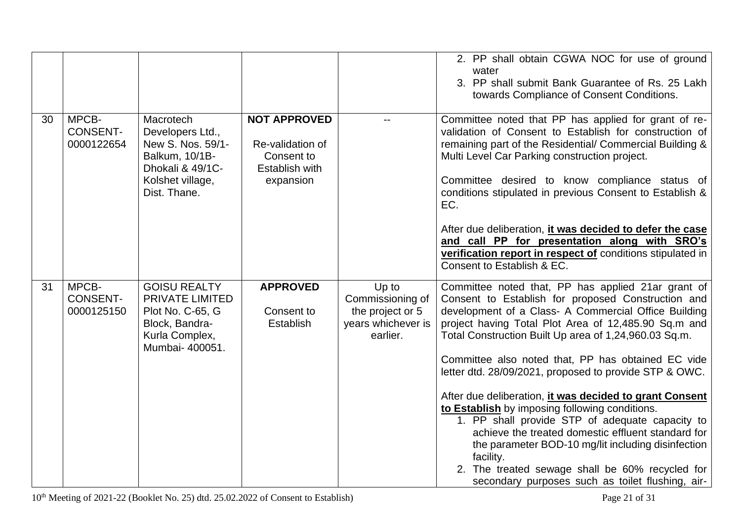|    |                                        |                                                                                                                              |                                                                                      |                                                                                 | 2. PP shall obtain CGWA NOC for use of ground<br>water<br>3. PP shall submit Bank Guarantee of Rs. 25 Lakh<br>towards Compliance of Consent Conditions.                                                                                                                                                                                                                                                      |
|----|----------------------------------------|------------------------------------------------------------------------------------------------------------------------------|--------------------------------------------------------------------------------------|---------------------------------------------------------------------------------|--------------------------------------------------------------------------------------------------------------------------------------------------------------------------------------------------------------------------------------------------------------------------------------------------------------------------------------------------------------------------------------------------------------|
| 30 | MPCB-<br><b>CONSENT-</b><br>0000122654 | Macrotech<br>Developers Ltd.,<br>New S. Nos. 59/1-<br>Balkum, 10/1B-<br>Dhokali & 49/1C-<br>Kolshet village,<br>Dist. Thane. | <b>NOT APPROVED</b><br>Re-validation of<br>Consent to<br>Establish with<br>expansion |                                                                                 | Committee noted that PP has applied for grant of re-<br>validation of Consent to Establish for construction of<br>remaining part of the Residential/ Commercial Building &<br>Multi Level Car Parking construction project.<br>Committee desired to know compliance status of<br>conditions stipulated in previous Consent to Establish &<br>EC.<br>After due deliberation, it was decided to defer the case |
|    |                                        |                                                                                                                              |                                                                                      |                                                                                 | and call PP for presentation along with SRO's<br>verification report in respect of conditions stipulated in<br>Consent to Establish & EC.                                                                                                                                                                                                                                                                    |
| 31 | MPCB-<br><b>CONSENT-</b><br>0000125150 | <b>GOISU REALTY</b><br>PRIVATE LIMITED<br>Plot No. C-65, G<br>Block, Bandra-<br>Kurla Complex,<br>Mumbai- 400051.            | <b>APPROVED</b><br>Consent to<br>Establish                                           | Up to<br>Commissioning of<br>the project or 5<br>years whichever is<br>earlier. | Committee noted that, PP has applied 21ar grant of<br>Consent to Establish for proposed Construction and<br>development of a Class- A Commercial Office Building<br>project having Total Plot Area of 12,485.90 Sq.m and<br>Total Construction Built Up area of 1,24,960.03 Sq.m.<br>Committee also noted that, PP has obtained EC vide<br>letter dtd. 28/09/2021, proposed to provide STP & OWC.            |
|    |                                        |                                                                                                                              |                                                                                      |                                                                                 | After due deliberation, it was decided to grant Consent<br>to Establish by imposing following conditions.<br>1. PP shall provide STP of adequate capacity to<br>achieve the treated domestic effluent standard for<br>the parameter BOD-10 mg/lit including disinfection<br>facility.<br>2. The treated sewage shall be 60% recycled for<br>secondary purposes such as toilet flushing, air-                 |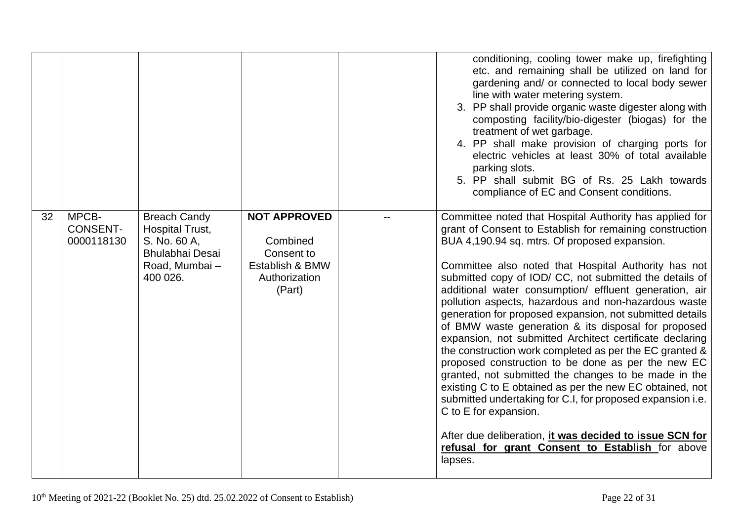|    |                                        |                                                                                                                |                                                                                             | conditioning, cooling tower make up, firefighting<br>etc. and remaining shall be utilized on land for<br>gardening and/ or connected to local body sewer<br>line with water metering system.<br>3. PP shall provide organic waste digester along with<br>composting facility/bio-digester (biogas) for the<br>treatment of wet garbage.<br>4. PP shall make provision of charging ports for<br>electric vehicles at least 30% of total available<br>parking slots.<br>5. PP shall submit BG of Rs. 25 Lakh towards<br>compliance of EC and Consent conditions.                                                                                                                                                                                                                                                                                                                                                                                                                                                                                 |
|----|----------------------------------------|----------------------------------------------------------------------------------------------------------------|---------------------------------------------------------------------------------------------|------------------------------------------------------------------------------------------------------------------------------------------------------------------------------------------------------------------------------------------------------------------------------------------------------------------------------------------------------------------------------------------------------------------------------------------------------------------------------------------------------------------------------------------------------------------------------------------------------------------------------------------------------------------------------------------------------------------------------------------------------------------------------------------------------------------------------------------------------------------------------------------------------------------------------------------------------------------------------------------------------------------------------------------------|
| 32 | MPCB-<br><b>CONSENT-</b><br>0000118130 | <b>Breach Candy</b><br><b>Hospital Trust,</b><br>S. No. 60 A,<br>Bhulabhai Desai<br>Road, Mumbai -<br>400 026. | <b>NOT APPROVED</b><br>Combined<br>Consent to<br>Establish & BMW<br>Authorization<br>(Part) | Committee noted that Hospital Authority has applied for<br>grant of Consent to Establish for remaining construction<br>BUA 4,190.94 sq. mtrs. Of proposed expansion.<br>Committee also noted that Hospital Authority has not<br>submitted copy of IOD/ CC, not submitted the details of<br>additional water consumption/ effluent generation, air<br>pollution aspects, hazardous and non-hazardous waste<br>generation for proposed expansion, not submitted details<br>of BMW waste generation & its disposal for proposed<br>expansion, not submitted Architect certificate declaring<br>the construction work completed as per the EC granted &<br>proposed construction to be done as per the new EC<br>granted, not submitted the changes to be made in the<br>existing C to E obtained as per the new EC obtained, not<br>submitted undertaking for C.I, for proposed expansion i.e.<br>C to E for expansion.<br>After due deliberation, it was decided to issue SCN for<br>refusal for grant Consent to Establish for above<br>lapses. |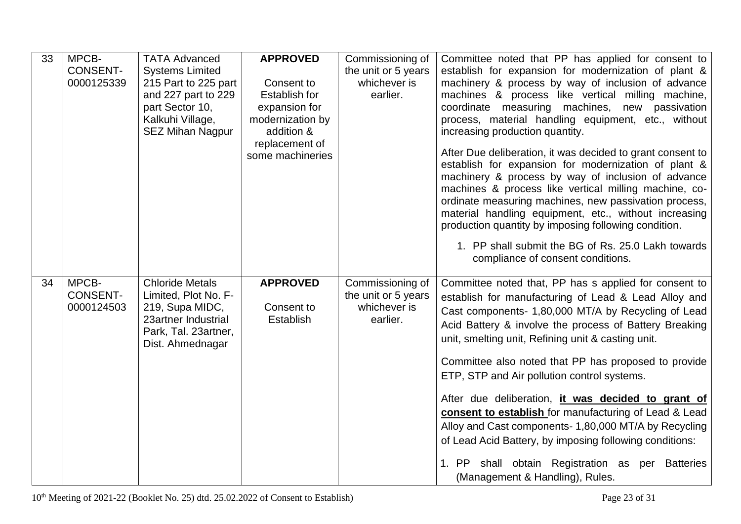| 33 | MPCB-<br><b>CONSENT-</b><br>0000125339 | <b>TATA Advanced</b><br><b>Systems Limited</b><br>215 Part to 225 part<br>and 227 part to 229<br>part Sector 10,<br>Kalkuhi Village,<br><b>SEZ Mihan Nagpur</b> | <b>APPROVED</b><br>Consent to<br><b>Establish for</b><br>expansion for<br>modernization by<br>addition &<br>replacement of<br>some machineries | Commissioning of<br>the unit or 5 years<br>whichever is<br>earlier. | Committee noted that PP has applied for consent to<br>establish for expansion for modernization of plant &<br>machinery & process by way of inclusion of advance<br>machines & process like vertical milling machine,<br>coordinate measuring machines, new passivation<br>process, material handling equipment, etc., without<br>increasing production quantity.<br>After Due deliberation, it was decided to grant consent to<br>establish for expansion for modernization of plant &<br>machinery & process by way of inclusion of advance<br>machines & process like vertical milling machine, co-<br>ordinate measuring machines, new passivation process,<br>material handling equipment, etc., without increasing<br>production quantity by imposing following condition.<br>1. PP shall submit the BG of Rs. 25.0 Lakh towards<br>compliance of consent conditions. |
|----|----------------------------------------|-----------------------------------------------------------------------------------------------------------------------------------------------------------------|------------------------------------------------------------------------------------------------------------------------------------------------|---------------------------------------------------------------------|-----------------------------------------------------------------------------------------------------------------------------------------------------------------------------------------------------------------------------------------------------------------------------------------------------------------------------------------------------------------------------------------------------------------------------------------------------------------------------------------------------------------------------------------------------------------------------------------------------------------------------------------------------------------------------------------------------------------------------------------------------------------------------------------------------------------------------------------------------------------------------|
| 34 | MPCB-<br><b>CONSENT-</b><br>0000124503 | <b>Chloride Metals</b><br>Limited, Plot No. F-<br>219, Supa MIDC,<br>23artner Industrial<br>Park, Tal. 23artner,<br>Dist. Ahmednagar                            | <b>APPROVED</b><br>Consent to<br><b>Establish</b>                                                                                              | Commissioning of<br>the unit or 5 years<br>whichever is<br>earlier. | Committee noted that, PP has s applied for consent to<br>establish for manufacturing of Lead & Lead Alloy and<br>Cast components- 1,80,000 MT/A by Recycling of Lead<br>Acid Battery & involve the process of Battery Breaking<br>unit, smelting unit, Refining unit & casting unit.<br>Committee also noted that PP has proposed to provide<br>ETP, STP and Air pollution control systems.<br>After due deliberation, it was decided to grant of<br>consent to establish for manufacturing of Lead & Lead<br>Alloy and Cast components- 1,80,000 MT/A by Recycling<br>of Lead Acid Battery, by imposing following conditions:<br>1. PP shall obtain Registration as per Batteries<br>(Management & Handling), Rules.                                                                                                                                                       |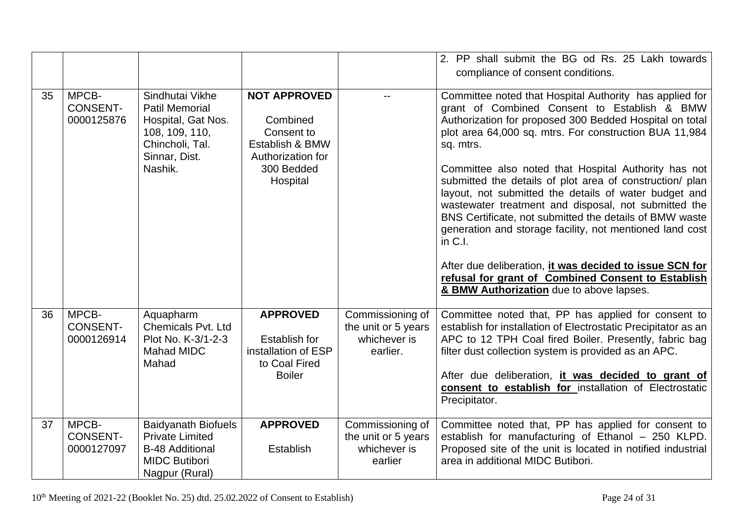|    |                                        |                                                                                                                                 |                                                                                                                 |                                                                     | 2. PP shall submit the BG od Rs. 25 Lakh towards<br>compliance of consent conditions.                                                                                                                                                                                                                                                                                                                                                                                                                                                                                                                                                                                                                                                                                           |
|----|----------------------------------------|---------------------------------------------------------------------------------------------------------------------------------|-----------------------------------------------------------------------------------------------------------------|---------------------------------------------------------------------|---------------------------------------------------------------------------------------------------------------------------------------------------------------------------------------------------------------------------------------------------------------------------------------------------------------------------------------------------------------------------------------------------------------------------------------------------------------------------------------------------------------------------------------------------------------------------------------------------------------------------------------------------------------------------------------------------------------------------------------------------------------------------------|
| 35 | MPCB-<br><b>CONSENT-</b><br>0000125876 | Sindhutai Vikhe<br><b>Patil Memorial</b><br>Hospital, Gat Nos.<br>108, 109, 110,<br>Chincholi, Tal.<br>Sinnar, Dist.<br>Nashik. | <b>NOT APPROVED</b><br>Combined<br>Consent to<br>Establish & BMW<br>Authorization for<br>300 Bedded<br>Hospital |                                                                     | Committee noted that Hospital Authority has applied for<br>grant of Combined Consent to Establish & BMW<br>Authorization for proposed 300 Bedded Hospital on total<br>plot area 64,000 sq. mtrs. For construction BUA 11,984<br>sq. mtrs.<br>Committee also noted that Hospital Authority has not<br>submitted the details of plot area of construction/ plan<br>layout, not submitted the details of water budget and<br>wastewater treatment and disposal, not submitted the<br>BNS Certificate, not submitted the details of BMW waste<br>generation and storage facility, not mentioned land cost<br>in $C.I.$<br>After due deliberation, it was decided to issue SCN for<br>refusal for grant of Combined Consent to Establish<br>& BMW Authorization due to above lapses. |
| 36 | MPCB-<br><b>CONSENT-</b><br>0000126914 | Aquapharm<br><b>Chemicals Pvt. Ltd</b><br>Plot No. K-3/1-2-3<br><b>Mahad MIDC</b><br>Mahad                                      | <b>APPROVED</b><br><b>Establish for</b><br>installation of ESP<br>to Coal Fired<br><b>Boiler</b>                | Commissioning of<br>the unit or 5 years<br>whichever is<br>earlier. | Committee noted that, PP has applied for consent to<br>establish for installation of Electrostatic Precipitator as an<br>APC to 12 TPH Coal fired Boiler. Presently, fabric bag<br>filter dust collection system is provided as an APC.<br>After due deliberation, <i>it was decided to grant of</i><br>consent to establish for installation of Electrostatic<br>Precipitator.                                                                                                                                                                                                                                                                                                                                                                                                 |
| 37 | MPCB-<br><b>CONSENT-</b><br>0000127097 | <b>Baidyanath Biofuels</b><br><b>Private Limited</b><br><b>B-48 Additional</b><br><b>MIDC Butibori</b><br>Nagpur (Rural)        | <b>APPROVED</b><br><b>Establish</b>                                                                             | Commissioning of<br>the unit or 5 years<br>whichever is<br>earlier  | Committee noted that, PP has applied for consent to<br>establish for manufacturing of Ethanol - 250 KLPD.<br>Proposed site of the unit is located in notified industrial<br>area in additional MIDC Butibori.                                                                                                                                                                                                                                                                                                                                                                                                                                                                                                                                                                   |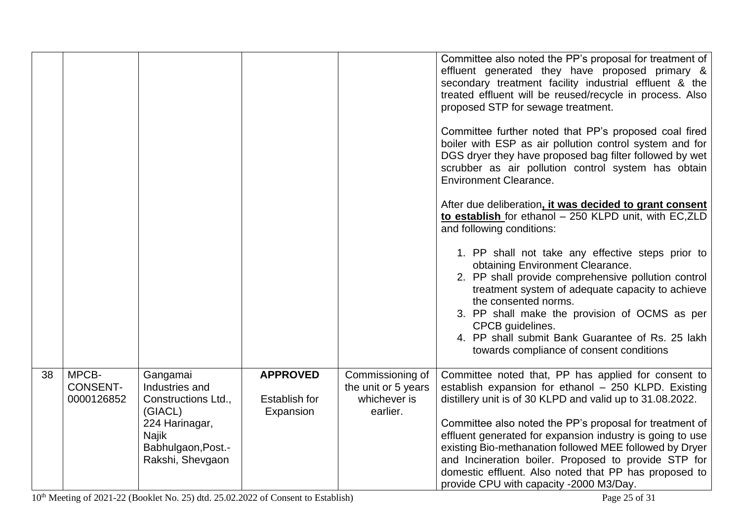|    |                                        |                                                                                                                                   |                                                      |                                                                     | Committee also noted the PP's proposal for treatment of<br>effluent generated they have proposed primary &<br>secondary treatment facility industrial effluent & the<br>treated effluent will be reused/recycle in process. Also<br>proposed STP for sewage treatment.<br>Committee further noted that PP's proposed coal fired<br>boiler with ESP as air pollution control system and for<br>DGS dryer they have proposed bag filter followed by wet<br>scrubber as air pollution control system has obtain<br><b>Environment Clearance.</b>   |
|----|----------------------------------------|-----------------------------------------------------------------------------------------------------------------------------------|------------------------------------------------------|---------------------------------------------------------------------|-------------------------------------------------------------------------------------------------------------------------------------------------------------------------------------------------------------------------------------------------------------------------------------------------------------------------------------------------------------------------------------------------------------------------------------------------------------------------------------------------------------------------------------------------|
|    |                                        |                                                                                                                                   |                                                      |                                                                     | After due deliberation, it was decided to grant consent<br>to establish for ethanol - 250 KLPD unit, with EC, ZLD<br>and following conditions:<br>1. PP shall not take any effective steps prior to<br>obtaining Environment Clearance.<br>2. PP shall provide comprehensive pollution control<br>treatment system of adequate capacity to achieve<br>the consented norms.<br>3. PP shall make the provision of OCMS as per<br>CPCB guidelines.<br>4. PP shall submit Bank Guarantee of Rs. 25 lakh<br>towards compliance of consent conditions |
| 38 | MPCB-<br><b>CONSENT-</b><br>0000126852 | Gangamai<br>Industries and<br>Constructions Ltd.,<br>(GIACL)<br>224 Harinagar,<br>Najik<br>Babhulgaon, Post.-<br>Rakshi, Shevgaon | <b>APPROVED</b><br><b>Establish for</b><br>Expansion | Commissioning of<br>the unit or 5 years<br>whichever is<br>earlier. | Committee noted that, PP has applied for consent to<br>establish expansion for ethanol - 250 KLPD. Existing<br>distillery unit is of 30 KLPD and valid up to 31.08.2022.<br>Committee also noted the PP's proposal for treatment of<br>effluent generated for expansion industry is going to use<br>existing Bio-methanation followed MEE followed by Dryer<br>and Incineration boiler. Proposed to provide STP for<br>domestic effluent. Also noted that PP has proposed to<br>provide CPU with capacity -2000 M3/Day.                         |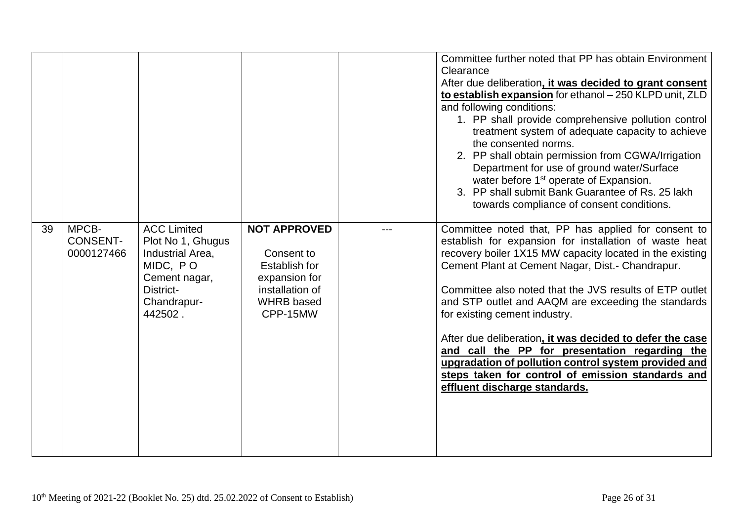|    |                                        |                                                                                                                                 |                                                                                                                                | Committee further noted that PP has obtain Environment<br>Clearance<br>After due deliberation, it was decided to grant consent<br>to establish expansion for ethanol - 250 KLPD unit, ZLD<br>and following conditions:<br>1. PP shall provide comprehensive pollution control<br>treatment system of adequate capacity to achieve<br>the consented norms.<br>2. PP shall obtain permission from CGWA/Irrigation<br>Department for use of ground water/Surface<br>water before 1 <sup>st</sup> operate of Expansion.<br>3. PP shall submit Bank Guarantee of Rs. 25 lakh<br>towards compliance of consent conditions.                         |
|----|----------------------------------------|---------------------------------------------------------------------------------------------------------------------------------|--------------------------------------------------------------------------------------------------------------------------------|----------------------------------------------------------------------------------------------------------------------------------------------------------------------------------------------------------------------------------------------------------------------------------------------------------------------------------------------------------------------------------------------------------------------------------------------------------------------------------------------------------------------------------------------------------------------------------------------------------------------------------------------|
| 39 | MPCB-<br><b>CONSENT-</b><br>0000127466 | <b>ACC Limited</b><br>Plot No 1, Ghugus<br>Industrial Area.<br>MIDC, PO<br>Cement nagar,<br>District-<br>Chandrapur-<br>442502. | <b>NOT APPROVED</b><br>Consent to<br><b>Establish for</b><br>expansion for<br>installation of<br><b>WHRB</b> based<br>CPP-15MW | Committee noted that, PP has applied for consent to<br>establish for expansion for installation of waste heat<br>recovery boiler 1X15 MW capacity located in the existing<br>Cement Plant at Cement Nagar, Dist.- Chandrapur.<br>Committee also noted that the JVS results of ETP outlet<br>and STP outlet and AAQM are exceeding the standards<br>for existing cement industry.<br>After due deliberation, it was decided to defer the case<br>and call the PP for presentation regarding the<br>upgradation of pollution control system provided and<br>steps taken for control of emission standards and<br>effluent discharge standards. |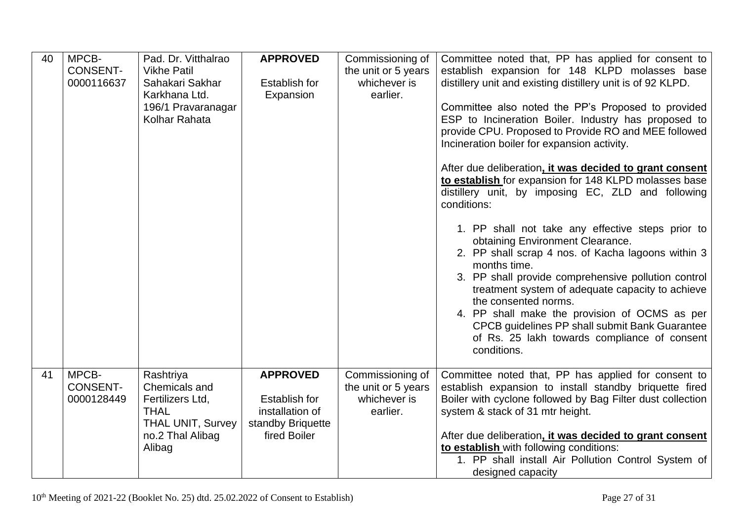| 40 | MPCB-<br><b>CONSENT-</b><br>0000116637 | Pad. Dr. Vitthalrao<br><b>Vikhe Patil</b><br>Sahakari Sakhar<br>Karkhana Ltd.<br>196/1 Pravaranagar<br>Kolhar Rahata    | <b>APPROVED</b><br><b>Establish for</b><br>Expansion                                            | Commissioning of<br>the unit or 5 years<br>whichever is<br>earlier. | Committee noted that, PP has applied for consent to<br>establish expansion for 148 KLPD molasses base<br>distillery unit and existing distillery unit is of 92 KLPD.<br>Committee also noted the PP's Proposed to provided<br>ESP to Incineration Boiler. Industry has proposed to<br>provide CPU. Proposed to Provide RO and MEE followed<br>Incineration boiler for expansion activity.<br>After due deliberation, it was decided to grant consent<br>to establish for expansion for 148 KLPD molasses base<br>distillery unit, by imposing EC, ZLD and following<br>conditions:<br>1. PP shall not take any effective steps prior to<br>obtaining Environment Clearance.<br>2. PP shall scrap 4 nos. of Kacha lagoons within 3<br>months time.<br>3. PP shall provide comprehensive pollution control<br>treatment system of adequate capacity to achieve<br>the consented norms.<br>4. PP shall make the provision of OCMS as per<br>CPCB guidelines PP shall submit Bank Guarantee<br>of Rs. 25 lakh towards compliance of consent<br>conditions. |
|----|----------------------------------------|-------------------------------------------------------------------------------------------------------------------------|-------------------------------------------------------------------------------------------------|---------------------------------------------------------------------|--------------------------------------------------------------------------------------------------------------------------------------------------------------------------------------------------------------------------------------------------------------------------------------------------------------------------------------------------------------------------------------------------------------------------------------------------------------------------------------------------------------------------------------------------------------------------------------------------------------------------------------------------------------------------------------------------------------------------------------------------------------------------------------------------------------------------------------------------------------------------------------------------------------------------------------------------------------------------------------------------------------------------------------------------------|
| 41 | MPCB-<br><b>CONSENT-</b><br>0000128449 | Rashtriya<br>Chemicals and<br>Fertilizers Ltd,<br><b>THAL</b><br><b>THAL UNIT, Survey</b><br>no.2 Thal Alibag<br>Alibag | <b>APPROVED</b><br><b>Establish for</b><br>installation of<br>standby Briquette<br>fired Boiler | Commissioning of<br>the unit or 5 years<br>whichever is<br>earlier. | Committee noted that, PP has applied for consent to<br>establish expansion to install standby briquette fired<br>Boiler with cyclone followed by Bag Filter dust collection<br>system & stack of 31 mtr height.<br>After due deliberation, it was decided to grant consent<br>to establish with following conditions:<br>1. PP shall install Air Pollution Control System of<br>designed capacity                                                                                                                                                                                                                                                                                                                                                                                                                                                                                                                                                                                                                                                      |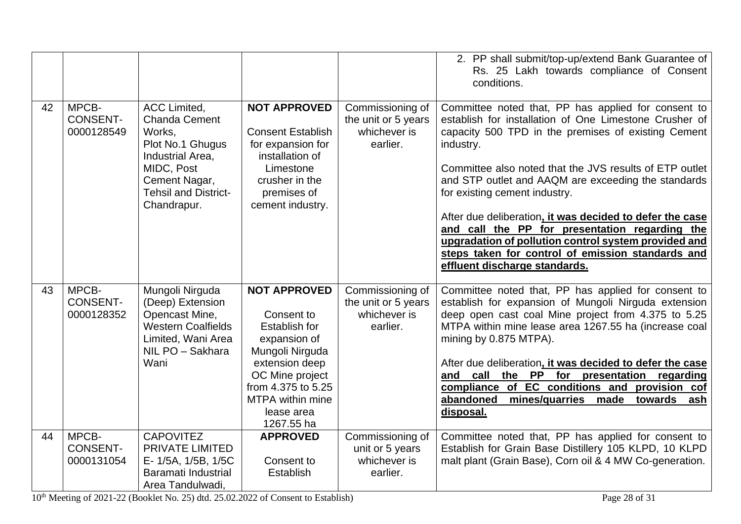|    |                                        |                                                                                                                                                                            |                                                                                                                                                                                                                |                                                                     | 2. PP shall submit/top-up/extend Bank Guarantee of<br>Rs. 25 Lakh towards compliance of Consent<br>conditions.                                                                                                                                                                                                                                                                                                                                                                                                                                                                                   |
|----|----------------------------------------|----------------------------------------------------------------------------------------------------------------------------------------------------------------------------|----------------------------------------------------------------------------------------------------------------------------------------------------------------------------------------------------------------|---------------------------------------------------------------------|--------------------------------------------------------------------------------------------------------------------------------------------------------------------------------------------------------------------------------------------------------------------------------------------------------------------------------------------------------------------------------------------------------------------------------------------------------------------------------------------------------------------------------------------------------------------------------------------------|
| 42 | MPCB-<br><b>CONSENT-</b><br>0000128549 | <b>ACC Limited,</b><br><b>Chanda Cement</b><br>Works,<br>Plot No.1 Ghugus<br>Industrial Area,<br>MIDC, Post<br>Cement Nagar,<br><b>Tehsil and District-</b><br>Chandrapur. | <b>NOT APPROVED</b><br><b>Consent Establish</b><br>for expansion for<br>installation of<br>Limestone<br>crusher in the<br>premises of<br>cement industry.                                                      | Commissioning of<br>the unit or 5 years<br>whichever is<br>earlier. | Committee noted that, PP has applied for consent to<br>establish for installation of One Limestone Crusher of<br>capacity 500 TPD in the premises of existing Cement<br>industry.<br>Committee also noted that the JVS results of ETP outlet<br>and STP outlet and AAQM are exceeding the standards<br>for existing cement industry.<br>After due deliberation, it was decided to defer the case<br>and call the PP for presentation regarding the<br>upgradation of pollution control system provided and<br>steps taken for control of emission standards and<br>effluent discharge standards. |
| 43 | MPCB-<br><b>CONSENT-</b><br>0000128352 | Mungoli Nirguda<br>(Deep) Extension<br>Opencast Mine,<br><b>Western Coalfields</b><br>Limited, Wani Area<br>NIL PO - Sakhara<br>Wani                                       | <b>NOT APPROVED</b><br>Consent to<br><b>Establish for</b><br>expansion of<br>Mungoli Nirguda<br>extension deep<br>OC Mine project<br>from 4.375 to 5.25<br><b>MTPA</b> within mine<br>lease area<br>1267.55 ha | Commissioning of<br>the unit or 5 years<br>whichever is<br>earlier. | Committee noted that, PP has applied for consent to<br>establish for expansion of Mungoli Nirguda extension<br>deep open cast coal Mine project from 4.375 to 5.25<br>MTPA within mine lease area 1267.55 ha (increase coal<br>mining by 0.875 MTPA).<br>After due deliberation, it was decided to defer the case<br>call the PP for presentation regarding<br>and<br>compliance of EC conditions and provision cof<br>abandoned<br>mines/quarries made<br>towards<br>ash<br>disposal.                                                                                                           |
| 44 | MPCB-<br><b>CONSENT-</b><br>0000131054 | <b>CAPOVITEZ</b><br>PRIVATE LIMITED<br>E-1/5A, 1/5B, 1/5C<br>Baramati Industrial<br>Area Tandulwadi,                                                                       | <b>APPROVED</b><br>Consent to<br><b>Establish</b>                                                                                                                                                              | Commissioning of<br>unit or 5 years<br>whichever is<br>earlier.     | Committee noted that, PP has applied for consent to<br>Establish for Grain Base Distillery 105 KLPD, 10 KLPD<br>malt plant (Grain Base), Corn oil & 4 MW Co-generation.                                                                                                                                                                                                                                                                                                                                                                                                                          |

10<sup>th</sup> Meeting of 2021-22 (Booklet No. 25) dtd. 25.02.2022 of Consent to Establish) Page 28 of 31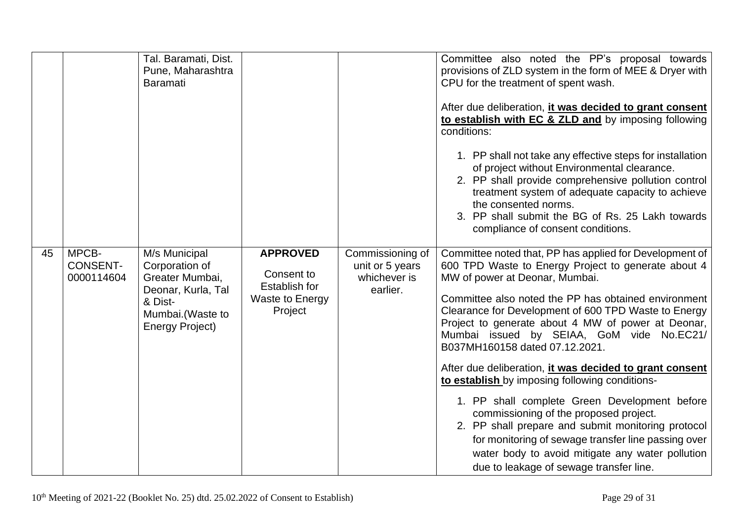|    |                                        | Tal. Baramati, Dist.<br>Pune, Maharashtra<br><b>Baramati</b>                                                                      |                                                                                     |                                                                 | Committee also noted the PP's proposal towards<br>provisions of ZLD system in the form of MEE & Dryer with<br>CPU for the treatment of spent wash.<br>After due deliberation, it was decided to grant consent<br>to establish with EC & ZLD and by imposing following<br>conditions:<br>1. PP shall not take any effective steps for installation<br>of project without Environmental clearance.<br>2. PP shall provide comprehensive pollution control<br>treatment system of adequate capacity to achieve<br>the consented norms.<br>3. PP shall submit the BG of Rs. 25 Lakh towards<br>compliance of consent conditions.                                                                                                                                                                                              |
|----|----------------------------------------|-----------------------------------------------------------------------------------------------------------------------------------|-------------------------------------------------------------------------------------|-----------------------------------------------------------------|---------------------------------------------------------------------------------------------------------------------------------------------------------------------------------------------------------------------------------------------------------------------------------------------------------------------------------------------------------------------------------------------------------------------------------------------------------------------------------------------------------------------------------------------------------------------------------------------------------------------------------------------------------------------------------------------------------------------------------------------------------------------------------------------------------------------------|
| 45 | MPCB-<br><b>CONSENT-</b><br>0000114604 | M/s Municipal<br>Corporation of<br>Greater Mumbai,<br>Deonar, Kurla, Tal<br>& Dist-<br>Mumbai.(Waste to<br><b>Energy Project)</b> | <b>APPROVED</b><br>Consent to<br><b>Establish for</b><br>Waste to Energy<br>Project | Commissioning of<br>unit or 5 years<br>whichever is<br>earlier. | Committee noted that, PP has applied for Development of<br>600 TPD Waste to Energy Project to generate about 4<br>MW of power at Deonar, Mumbai.<br>Committee also noted the PP has obtained environment<br>Clearance for Development of 600 TPD Waste to Energy<br>Project to generate about 4 MW of power at Deonar,<br>Mumbai issued by SEIAA, GoM vide No.EC21/<br>B037MH160158 dated 07.12.2021.<br>After due deliberation, it was decided to grant consent<br>to establish by imposing following conditions-<br>1. PP shall complete Green Development before<br>commissioning of the proposed project.<br>2. PP shall prepare and submit monitoring protocol<br>for monitoring of sewage transfer line passing over<br>water body to avoid mitigate any water pollution<br>due to leakage of sewage transfer line. |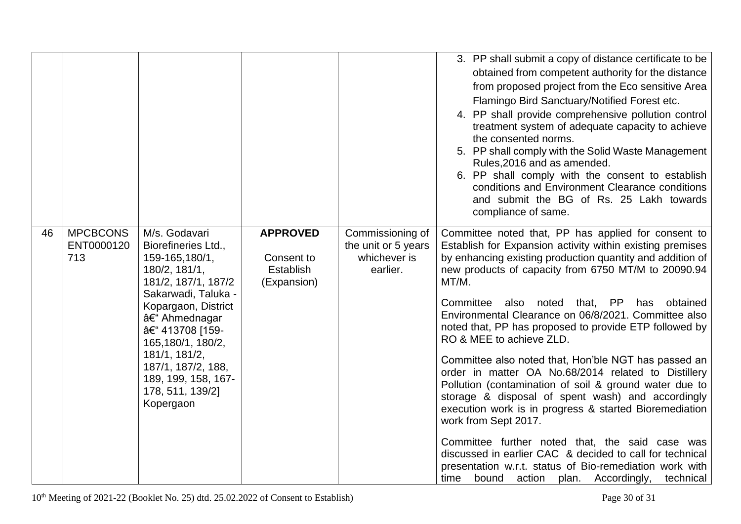|    |                                      |                                                                                                                                                                                                                                                                                                    |                                                           |                                                                     | 3. PP shall submit a copy of distance certificate to be<br>obtained from competent authority for the distance<br>from proposed project from the Eco sensitive Area<br>Flamingo Bird Sanctuary/Notified Forest etc.<br>4. PP shall provide comprehensive pollution control<br>treatment system of adequate capacity to achieve<br>the consented norms.<br>5. PP shall comply with the Solid Waste Management<br>Rules, 2016 and as amended.<br>6. PP shall comply with the consent to establish<br>conditions and Environment Clearance conditions<br>and submit the BG of Rs. 25 Lakh towards<br>compliance of same.                                                                                                                                                                                                                                                                                                                                                                              |
|----|--------------------------------------|----------------------------------------------------------------------------------------------------------------------------------------------------------------------------------------------------------------------------------------------------------------------------------------------------|-----------------------------------------------------------|---------------------------------------------------------------------|---------------------------------------------------------------------------------------------------------------------------------------------------------------------------------------------------------------------------------------------------------------------------------------------------------------------------------------------------------------------------------------------------------------------------------------------------------------------------------------------------------------------------------------------------------------------------------------------------------------------------------------------------------------------------------------------------------------------------------------------------------------------------------------------------------------------------------------------------------------------------------------------------------------------------------------------------------------------------------------------------|
| 46 | <b>MPCBCONS</b><br>ENT0000120<br>713 | M/s. Godavari<br>Biorefineries Ltd.,<br>159-165,180/1,<br>180/2, 181/1,<br>181/2, 187/1, 187/2<br>Sakarwadi, Taluka -<br>Kopargaon, District<br>– Ahmednagar<br>– 413708 [159-<br>165,180/1, 180/2,<br>181/1, 181/2,<br>187/1, 187/2, 188,<br>189, 199, 158, 167-<br>178, 511, 139/2]<br>Kopergaon | <b>APPROVED</b><br>Consent to<br>Establish<br>(Expansion) | Commissioning of<br>the unit or 5 years<br>whichever is<br>earlier. | Committee noted that, PP has applied for consent to<br>Establish for Expansion activity within existing premises<br>by enhancing existing production quantity and addition of<br>new products of capacity from 6750 MT/M to 20090.94<br>MT/M.<br>Committee also noted that, PP<br>obtained<br>has<br>Environmental Clearance on 06/8/2021. Committee also<br>noted that, PP has proposed to provide ETP followed by<br>RO & MEE to achieve ZLD.<br>Committee also noted that, Hon'ble NGT has passed an<br>order in matter OA No.68/2014 related to Distillery<br>Pollution (contamination of soil & ground water due to<br>storage & disposal of spent wash) and accordingly<br>execution work is in progress & started Bioremediation<br>work from Sept 2017.<br>Committee further noted that, the said case was<br>discussed in earlier CAC & decided to call for technical<br>presentation w.r.t. status of Bio-remediation work with<br>bound action plan. Accordingly,<br>technical<br>time |